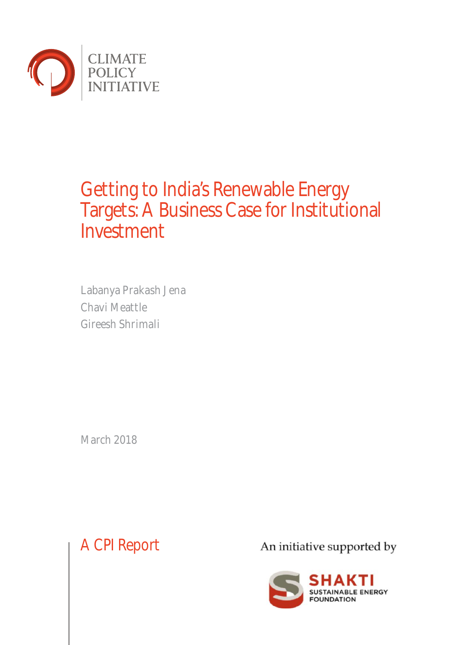

# Getting to India's Renewable Energy Targets: A Business Case for Institutional Investment

Labanya Prakash Jena Chavi Meattle Gireesh Shrimali

March 2018

A CPI Report

An initiative supported by

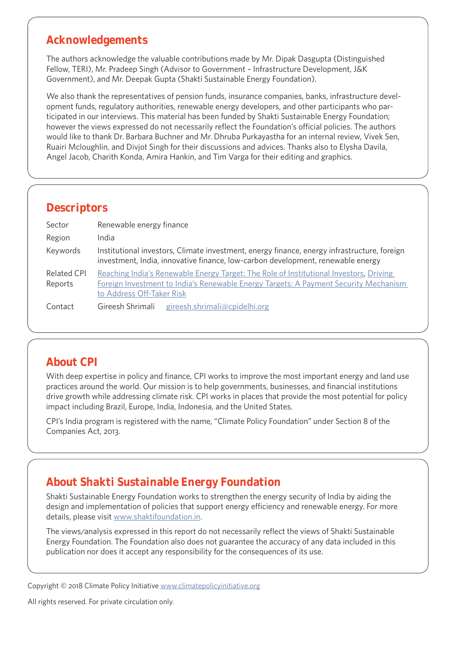### **Acknowledgements**

The authors acknowledge the valuable contributions made by Mr. Dipak Dasgupta (Distinguished Fellow, TERI), Mr. Pradeep Singh (Advisor to Government – Infrastructure Development, J&K Government), and Mr. Deepak Gupta (Shakti Sustainable Energy Foundation).

We also thank the representatives of pension funds, insurance companies, banks, infrastructure development funds, regulatory authorities, renewable energy developers, and other participants who participated in our interviews. This material has been funded by Shakti Sustainable Energy Foundation; however the views expressed do not necessarily reflect the Foundation's official policies. The authors would like to thank Dr. Barbara Buchner and Mr. Dhruba Purkayastha for an internal review, Vivek Sen, Ruairi Mcloughlin, and Divjot Singh for their discussions and advices. Thanks also to Elysha Davila, Angel Jacob, Charith Konda, Amira Hankin, and Tim Varga for their editing and graphics.

### **Descriptors**

| Sector                        | Renewable energy finance                                                                                                                                                                                    |  |  |  |  |
|-------------------------------|-------------------------------------------------------------------------------------------------------------------------------------------------------------------------------------------------------------|--|--|--|--|
| Region                        | India                                                                                                                                                                                                       |  |  |  |  |
| Keywords                      | Institutional investors, Climate investment, energy finance, energy infrastructure, foreign<br>investment, India, innovative finance, low-carbon development, renewable energy                              |  |  |  |  |
| <b>Related CPI</b><br>Reports | Reaching India's Renewable Energy Target: The Role of Institutional Investors, Driving<br>Foreign Investment to India's Renewable Energy Targets: A Payment Security Mechanism<br>to Address Off-Taker Risk |  |  |  |  |
| Contact                       | Gireesh Shrimali gireesh.shrimali@cpidelhi.org                                                                                                                                                              |  |  |  |  |

# **About CPI**

With deep expertise in policy and finance, CPI works to improve the most important energy and land use practices around the world. Our mission is to help governments, businesses, and financial institutions drive growth while addressing climate risk. CPI works in places that provide the most potential for policy impact including Brazil, Europe, India, Indonesia, and the United States.

CPI's India program is registered with the name, "Climate Policy Foundation" under Section 8 of the Companies Act, 2013.

# **About Shakti Sustainable Energy Foundation**

Shakti Sustainable Energy Foundation works to strengthen the energy security of India by aiding the design and implementation of policies that support energy efficiency and renewable energy. For more details, please visit www.shaktifoundation.in.

The views/analysis expressed in this report do not necessarily reflect the views of Shakti Sustainable Energy Foundation. The Foundation also does not guarantee the accuracy of any data included in this publication nor does it accept any responsibility for the consequences of its use.

Copyright © 2018 Climate Policy Initiative www.climatepolicyinitiative.org

All rights reserved. For private circulation only.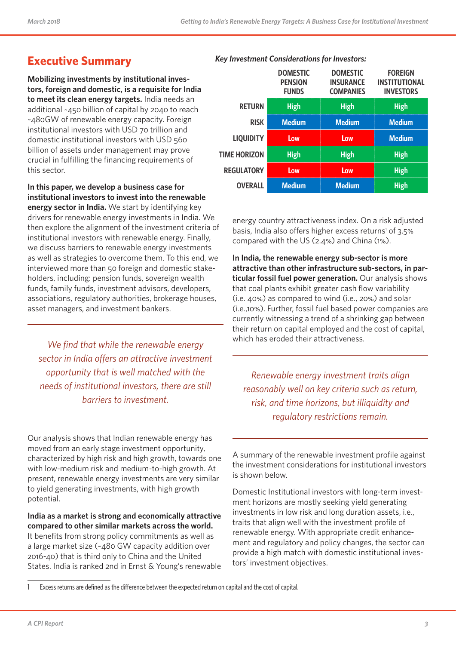*Key Investment Considerations for Investors:*

# **Executive Summary**

**Mobilizing investments by institutional investors, foreign and domestic, is a requisite for India to meet its clean energy targets.** India needs an additional ~450 billion of capital by 2040 to reach ~480GW of renewable energy capacity. Foreign institutional investors with USD 70 trillion and domestic institutional investors with USD 560 billion of assets under management may prove crucial in fulfilling the financing requirements of this sector.

**In this paper, we develop a business case for institutional investors to invest into the renewable** 

**energy sector in India.** We start by identifying key drivers for renewable energy investments in India. We then explore the alignment of the investment criteria of institutional investors with renewable energy. Finally, we discuss barriers to renewable energy investments as well as strategies to overcome them. To this end, we interviewed more than 50 foreign and domestic stakeholders, including: pension funds, sovereign wealth funds, family funds, investment advisors, developers, associations, regulatory authorities, brokerage houses, asset managers, and investment bankers.

*We find that while the renewable energy sector in India offers an attractive investment opportunity that is well matched with the needs of institutional investors, there are still barriers to investment.* 

Our analysis shows that Indian renewable energy has moved from an early stage investment opportunity, characterized by high risk and high growth, towards one with low-medium risk and medium-to-high growth. At present, renewable energy investments are very similar to yield generating investments, with high growth potential.

**India as a market is strong and economically attractive compared to other similar markets across the world.** It benefits from strong policy commitments as well as a large market size (~480 GW capacity addition over 2016-40) that is third only to China and the United States. India is ranked 2nd in Ernst & Young's renewable

|                     | <b>DOMESTIC</b><br><b>PENSION</b><br><b>FUNDS</b> | <b>DOMESTIC</b><br><b>INSURANCE</b><br><b>COMPANIES</b> | <b>FOREIGN</b><br><b>INSTITUTIONAL</b><br><b>INVESTORS</b> |
|---------------------|---------------------------------------------------|---------------------------------------------------------|------------------------------------------------------------|
| <b>RETURN</b>       | <b>High</b>                                       | <b>High</b>                                             | <b>High</b>                                                |
| <b>RISK</b>         | <b>Medium</b>                                     | <b>Medium</b>                                           | <b>Medium</b>                                              |
| <b>LIQUIDITY</b>    | Low                                               | Low                                                     | <b>Medium</b>                                              |
| <b>TIME HORIZON</b> | <b>High</b>                                       | <b>High</b>                                             | <b>High</b>                                                |
| <b>REGULATORY</b>   | Low                                               | Low                                                     | <b>High</b>                                                |
| <b>OVERALL</b>      | <b>Medium</b>                                     | <b>Medium</b>                                           | <b>High</b>                                                |

energy country attractiveness index. On a risk adjusted basis, India also offers higher excess returns<sup>1</sup> of 3.5% compared with the US (2.4%) and China (1%).

**In India, the renewable energy sub-sector is more attractive than other infrastructure sub-sectors, in particular fossil fuel power generation.** Our analysis shows that coal plants exhibit greater cash flow variability (i.e. 40%) as compared to wind (i.e., 20%) and solar (i.e.,10%). Further, fossil fuel based power companies are currently witnessing a trend of a shrinking gap between their return on capital employed and the cost of capital, which has eroded their attractiveness.

*Renewable energy investment traits align reasonably well on key criteria such as return, risk, and time horizons, but illiquidity and regulatory restrictions remain.* 

A summary of the renewable investment profile against the investment considerations for institutional investors is shown below.

Domestic Institutional investors with long-term investment horizons are mostly seeking yield generating investments in low risk and long duration assets, i.e., traits that align well with the investment profile of renewable energy. With appropriate credit enhancement and regulatory and policy changes, the sector can provide a high match with domestic institutional investors' investment objectives.

1 Excess returns are defined as the difference between the expected return on capital and the cost of capital.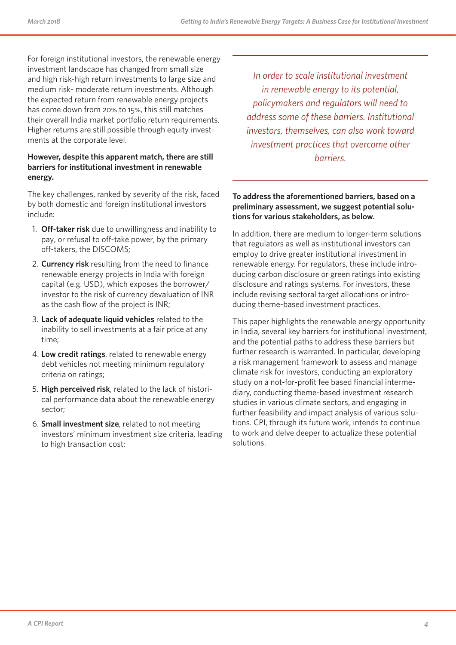For foreign institutional investors, the renewable energy investment landscape has changed from small size and high risk-high return investments to large size and medium risk- moderate return investments. Although the expected return from renewable energy projects has come down from 20% to 15%, this still matches their overall India market portfolio return requirements. Higher returns are still possible through equity investments at the corporate level.

#### **However, despite this apparent match, there are still barriers for institutional investment in renewable energy.**

The key challenges, ranked by severity of the risk, faced by both domestic and foreign institutional investors include:

- 1. **Off-taker risk** due to unwillingness and inability to pay, or refusal to off-take power, by the primary off-takers, the DISCOMS;
- 2. **Currency risk** resulting from the need to finance renewable energy projects in India with foreign capital (e.g. USD), which exposes the borrower/ investor to the risk of currency devaluation of INR as the cash flow of the project is INR;
- 3. **Lack of adequate liquid vehicles** related to the inability to sell investments at a fair price at any time;
- 4. **Low credit ratings**, related to renewable energy debt vehicles not meeting minimum regulatory criteria on ratings;
- 5. **High perceived risk**, related to the lack of historical performance data about the renewable energy sector;
- 6. **Small investment size**, related to not meeting investors' minimum investment size criteria, leading to high transaction cost;

*In order to scale institutional investment in renewable energy to its potential, policymakers and regulators will need to address some of these barriers. Institutional investors, themselves, can also work toward investment practices that overcome other barriers.* 

#### **To address the aforementioned barriers, based on a preliminary assessment, we suggest potential solutions for various stakeholders, as below.**

In addition, there are medium to longer-term solutions that regulators as well as institutional investors can employ to drive greater institutional investment in renewable energy. For regulators, these include introducing carbon disclosure or green ratings into existing disclosure and ratings systems. For investors, these include revising sectoral target allocations or introducing theme-based investment practices.

This paper highlights the renewable energy opportunity in India, several key barriers for institutional investment, and the potential paths to address these barriers but further research is warranted. In particular, developing a risk management framework to assess and manage climate risk for investors, conducting an exploratory study on a not-for-profit fee based financial intermediary, conducting theme-based investment research studies in various climate sectors, and engaging in further feasibility and impact analysis of various solutions. CPI, through its future work, intends to continue to work and delve deeper to actualize these potential solutions.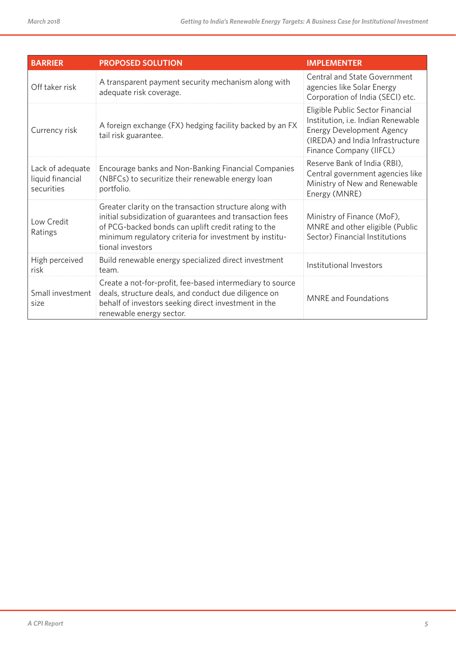| <b>BARRIER</b>                                     | <b>PROPOSED SOLUTION</b>                                                                                                                                                                                                                                 | <b>IMPLEMENTER</b>                                                                                                                                                        |
|----------------------------------------------------|----------------------------------------------------------------------------------------------------------------------------------------------------------------------------------------------------------------------------------------------------------|---------------------------------------------------------------------------------------------------------------------------------------------------------------------------|
| Off taker risk                                     | A transparent payment security mechanism along with<br>adequate risk coverage.                                                                                                                                                                           | <b>Central and State Government</b><br>agencies like Solar Energy<br>Corporation of India (SECI) etc.                                                                     |
| Currency risk                                      | A foreign exchange (FX) hedging facility backed by an FX<br>tail risk guarantee.                                                                                                                                                                         | Eligible Public Sector Financial<br>Institution, i.e. Indian Renewable<br><b>Energy Development Agency</b><br>(IREDA) and India Infrastructure<br>Finance Company (IIFCL) |
| Lack of adequate<br>liquid financial<br>securities | Encourage banks and Non-Banking Financial Companies<br>(NBFCs) to securitize their renewable energy loan<br>portfolio.                                                                                                                                   | Reserve Bank of India (RBI),<br>Central government agencies like<br>Ministry of New and Renewable<br>Energy (MNRE)                                                        |
| Low Credit<br>Ratings                              | Greater clarity on the transaction structure along with<br>initial subsidization of guarantees and transaction fees<br>of PCG-backed bonds can uplift credit rating to the<br>minimum regulatory criteria for investment by institu-<br>tional investors | Ministry of Finance (MoF),<br>MNRE and other eligible (Public<br>Sector) Financial Institutions                                                                           |
| High perceived<br>risk                             | Build renewable energy specialized direct investment<br>team.                                                                                                                                                                                            | Institutional Investors                                                                                                                                                   |
| Small investment<br>size                           | Create a not-for-profit, fee-based intermediary to source<br>deals, structure deals, and conduct due diligence on<br>behalf of investors seeking direct investment in the<br>renewable energy sector.                                                    | <b>MNRE</b> and Foundations                                                                                                                                               |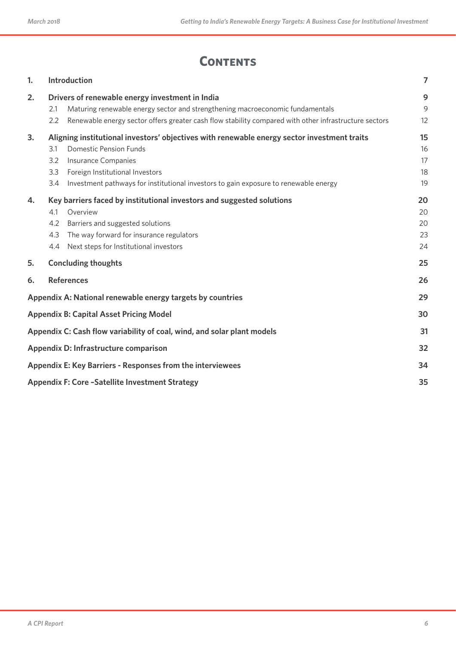# **CONTENTS**

| 1.                                                                            | Introduction<br>$\overline{7}$                                   |                                                                                                                                                                                                                                                                                |                            |  |  |  |
|-------------------------------------------------------------------------------|------------------------------------------------------------------|--------------------------------------------------------------------------------------------------------------------------------------------------------------------------------------------------------------------------------------------------------------------------------|----------------------------|--|--|--|
| 2.                                                                            | 2.1<br>2.2                                                       | Drivers of renewable energy investment in India<br>Maturing renewable energy sector and strengthening macroeconomic fundamentals<br>Renewable energy sector offers greater cash flow stability compared with other infrastructure sectors                                      | 9<br>9<br>12               |  |  |  |
| 3.                                                                            | 3.1<br>3.2<br>3.3<br>3.4                                         | Aligning institutional investors' objectives with renewable energy sector investment traits<br><b>Domestic Pension Funds</b><br>Insurance Companies<br>Foreign Institutional Investors<br>Investment pathways for institutional investors to gain exposure to renewable energy | 15<br>16<br>17<br>18<br>19 |  |  |  |
| 4.                                                                            | 4.1<br>4.2<br>4.3<br>4.4                                         | Key barriers faced by institutional investors and suggested solutions<br>Overview<br>Barriers and suggested solutions<br>The way forward for insurance regulators<br>Next steps for Institutional investors                                                                    | 20<br>20<br>20<br>23<br>24 |  |  |  |
| 5.                                                                            |                                                                  | <b>Concluding thoughts</b>                                                                                                                                                                                                                                                     | 25                         |  |  |  |
| 6.                                                                            |                                                                  | <b>References</b>                                                                                                                                                                                                                                                              | 26                         |  |  |  |
|                                                                               |                                                                  | Appendix A: National renewable energy targets by countries                                                                                                                                                                                                                     | 29                         |  |  |  |
|                                                                               |                                                                  | <b>Appendix B: Capital Asset Pricing Model</b>                                                                                                                                                                                                                                 | 30                         |  |  |  |
| Appendix C: Cash flow variability of coal, wind, and solar plant models<br>31 |                                                                  |                                                                                                                                                                                                                                                                                |                            |  |  |  |
| Appendix D: Infrastructure comparison<br>32                                   |                                                                  |                                                                                                                                                                                                                                                                                |                            |  |  |  |
|                                                                               | Appendix E: Key Barriers - Responses from the interviewees<br>34 |                                                                                                                                                                                                                                                                                |                            |  |  |  |
|                                                                               | <b>Appendix F: Core -Satellite Investment Strategy</b><br>35     |                                                                                                                                                                                                                                                                                |                            |  |  |  |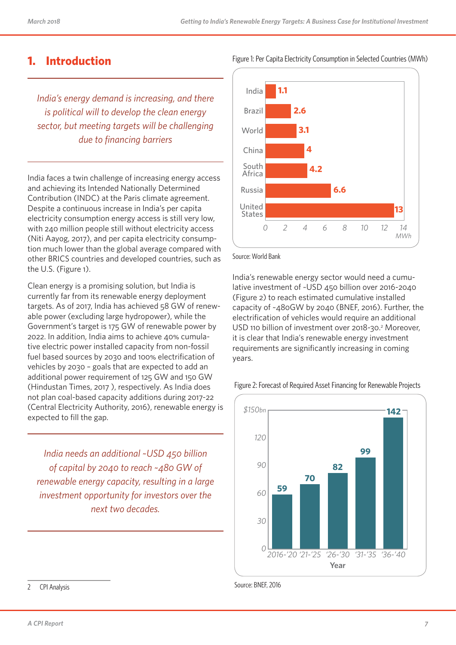### **1. Introduction**

*India's energy demand is increasing, and there is political will to develop the clean energy sector, but meeting targets will be challenging due to financing barriers*

India faces a twin challenge of increasing energy access and achieving its Intended Nationally Determined Contribution (INDC) at the Paris climate agreement. Despite a continuous increase in India's per capita electricity consumption energy access is still very low, with 240 million people still without electricity access (Niti Aayog, 2017), and per capita electricity consumption much lower than the global average compared with other BRICS countries and developed countries, such as the U.S. (Figure 1).

Clean energy is a promising solution, but India is currently far from its renewable energy deployment targets. As of 2017, India has achieved 58 GW of renewable power (excluding large hydropower), while the Government's target is 175 GW of renewable power by 2022. In addition, India aims to achieve 40% cumulative electric power installed capacity from non-fossil fuel based sources by 2030 and 100% electrification of vehicles by 2030 – goals that are expected to add an additional power requirement of 125 GW and 150 GW (Hindustan Times, 2017 ), respectively. As India does not plan coal-based capacity additions during 2017-22 (Central Electricity Authority, 2016), renewable energy is expected to fill the gap.

*India needs an additional ~USD 450 billion of capital by 2040 to reach ~480 GW of renewable energy capacity, resulting in a large investment opportunity for investors over the next two decades.*



Source: World Bank

India's renewable energy sector would need a cumulative investment of ~USD 450 billion over 2016-2040 (Figure 2) to reach estimated cumulative installed capacity of ~480GW by 2040 (BNEF, 2016). Further, the electrification of vehicles would require an additional USD 110 billion of investment over 2018-30.<sup>2</sup> Moreover, it is clear that India's renewable energy investment requirements are significantly increasing in coming years.





Source: BNEF, 2016

<sup>2</sup> CPI Analysis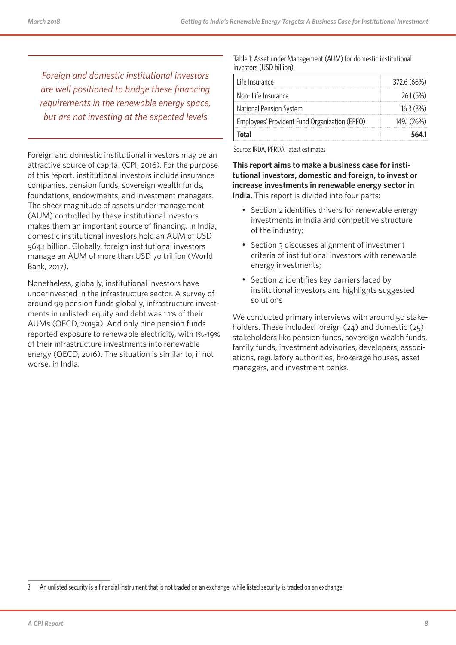*Foreign and domestic institutional investors are well positioned to bridge these financing requirements in the renewable energy space, but are not investing at the expected levels* 

Foreign and domestic institutional investors may be an attractive source of capital (CPI, 2016). For the purpose of this report, institutional investors include insurance companies, pension funds, sovereign wealth funds, foundations, endowments, and investment managers. The sheer magnitude of assets under management (AUM) controlled by these institutional investors makes them an important source of financing. In India, domestic institutional investors hold an AUM of USD 564.1 billion. Globally, foreign institutional investors manage an AUM of more than USD 70 trillion (World Bank, 2017).

Nonetheless, globally, institutional investors have underinvested in the infrastructure sector. A survey of around 99 pension funds globally, infrastructure investments in unlisted<sup>3</sup> equity and debt was 1.1% of their AUMs (OECD, 2015a). And only nine pension funds reported exposure to renewable electricity, with 1%-19% of their infrastructure investments into renewable energy (OECD, 2016). The situation is similar to, if not worse, in India.

#### Table 1: Asset under Management (AUM) for domestic institutional investors (USD billion)

| Life Insurance                                | 372.6 (66%) |
|-----------------------------------------------|-------------|
| Non-Life Insurance                            | 26.1 (5%)   |
| National Pension System                       | 16.3(3%)    |
| Employees' Provident Fund Organization (EPFO) | 149.1 (26%) |
| <b>Total</b>                                  | 5641        |

Source: IRDA, PFRDA, latest estimates

**This report aims to make a business case for institutional investors, domestic and foreign, to invest or increase investments in renewable energy sector in India.** This report is divided into four parts:

- Section 2 identifies drivers for renewable energy investments in India and competitive structure of the industry;
- Section 3 discusses alignment of investment criteria of institutional investors with renewable energy investments;
- Section 4 identifies key barriers faced by institutional investors and highlights suggested solutions

We conducted primary interviews with around 50 stakeholders. These included foreign (24) and domestic (25) stakeholders like pension funds, sovereign wealth funds, family funds, investment advisories, developers, associations, regulatory authorities, brokerage houses, asset managers, and investment banks.

<sup>3</sup> An unlisted security is a financial instrument that is not traded on an exchange, while listed security is traded on an exchange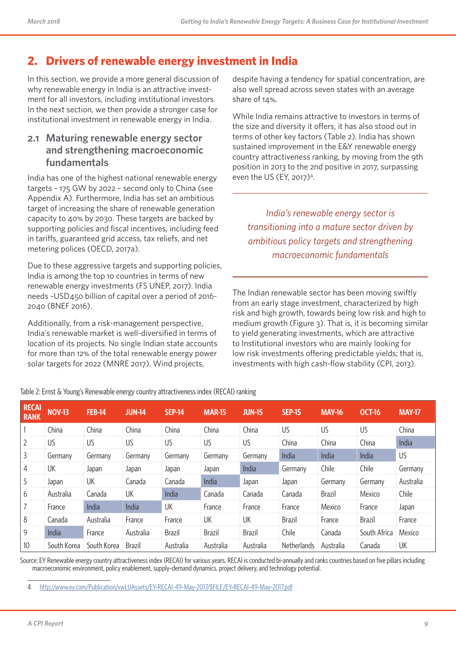# **2. Drivers of renewable energy investment in India**

In this section, we provide a more general discussion of why renewable energy in India is an attractive investment for all investors, including institutional investors. In the next section, we then provide a stronger case for institutional investment in renewable energy in India.

### **2.1 Maturing renewable energy sector and strengthening macroeconomic fundamentals**

India has one of the highest national renewable energy targets – 175 GW by 2022 – second only to China (see Appendix A). Furthermore, India has set an ambitious target of increasing the share of renewable generation capacity to 40% by 2030. These targets are backed by supporting policies and fiscal incentives, including feed in tariffs, guaranteed grid access, tax reliefs, and net metering polices (OECD, 2017a).

Due to these aggressive targets and supporting policies, India is among the top 10 countries in terms of new renewable energy investments (FS UNEP, 2017). India needs ~USD450 billion of capital over a period of 2016- 2040 (BNEF 2016).

Additionally, from a risk-management perspective, India's renewable market is well-diversified in terms of location of its projects. No single Indian state accounts for more than 12% of the total renewable energy power solar targets for 2022 (MNRE 2017). Wind projects,

despite having a tendency for spatial concentration, are also well spread across seven states with an average share of 14%.

While India remains attractive to investors in terms of the size and diversity it offers, it has also stood out in terms of other key factors (Table 2). India has shown sustained improvement in the E&Y renewable energy country attractiveness ranking, by moving from the 9th position in 2013 to the 2nd positive in 2017, surpassing even the US (EY, 2017)4 .

*India's renewable energy sector is transitioning into a mature sector driven by ambitious policy targets and strengthening macroeconomic fundamentals*

The Indian renewable sector has been moving swiftly from an early stage investment, characterized by high risk and high growth, towards being low risk and high to medium growth (Figure 3). That is, it is becoming similar to yield generating investments, which are attractive to Institutional investors who are mainly looking for low risk investments offering predictable yields; that is, investments with high cash-flow stability (CPI, 2013).

| <b>RECAI</b><br><b>RANK</b> | <b>NOV-13</b> | <b>FEB-14</b> | <b>JUN-14</b> | <b>SEP-14</b> | <b>MAR-15</b> | <b>JUN-15</b> | <b>SEP-15</b> | <b>MAY-16</b> | <b>OCT-16</b> | <b>MAY-17</b> |
|-----------------------------|---------------|---------------|---------------|---------------|---------------|---------------|---------------|---------------|---------------|---------------|
|                             | China         | China         | China         | China         | China         | China         | US            | US            | US            | China         |
|                             | US.           | US            | US            | US            | US            | US            | China         | China         | China         | India         |
| 3                           | Germany       | Germany       | Germany       | Germany       | Germany       | Germany       | India         | India         | India         | US            |
| 4                           | UK            | Japan         | Japan         | Japan         | Japan         | India         | Germany       | Chile         | Chile         | Germany       |
| 5                           | Japan         | UK            | Canada        | Canada        | India         | Japan         | Japan         | Germany       | Germany       | Australia     |
| 6                           | Australia     | Canada        | UK            | India         | Canada        | Canada        | Canada        | <b>Brazil</b> | Mexico        | Chile         |
|                             | France        | India         | India         | UK            | France        | France        | France        | Mexico        | France        | Japan         |
| 8                           | Canada        | Australia     | France        | France        | UK            | UК            | Brazil        | France        | <b>Brazil</b> | France        |
| 9                           | India         | France        | Australia     | <b>Brazil</b> | <b>Brazil</b> | <b>Brazil</b> | Chile         | Canada        | South Africa  | Mexico        |
| 10                          | South Korea   | South Korea   | <b>Brazil</b> | Australia     | Australia     | Australia     | Netherlands   | Australia     | Canada        | UK            |

Table 2: Ernst & Young's Renewable energy country attractiveness index (RECAI) ranking

Source: EY Renewable energy country attractiveness index (RECAI) for various years. RECAI is conducted bi-annually and ranks countries based on five pillars including macroeconomic environment, policy enablement, supply–demand dynamics, project delivery, and technology potential.

4 http://www.ey.com/Publication/vwLUAssets/EY-RECAI-49-May-2017/\$FILE/EY-RECAI-49-May-2017.pdf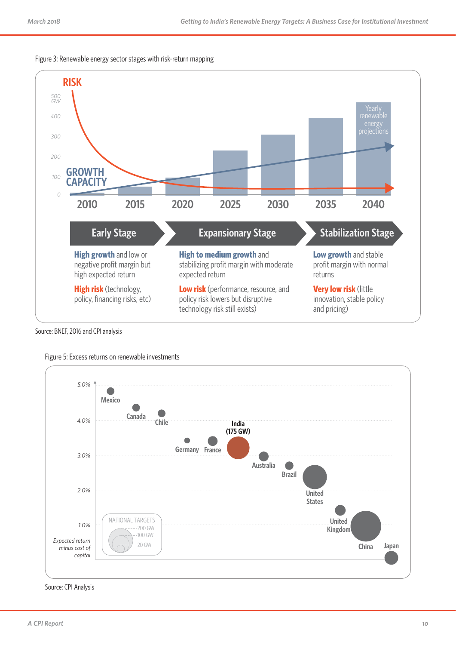



Source: BNEF, 2016 and CPI analysis



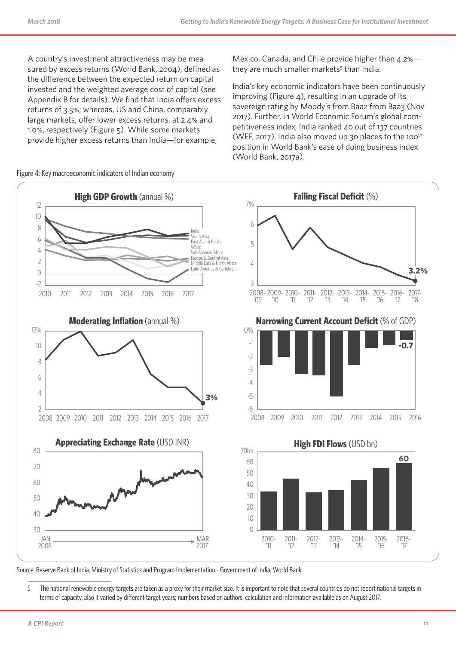A country's investment attractiveness may be measured by excess returns (World Bank, 2004), defined as the difference between the expected return on capital invested and the weighted average cost of capital (see Appendix B for details). We find that India offers excess returns of 3.5%; whereas, US and China, comparably large markets, offer lower excess returns, at 2.4% and 1.0%, respectively (Figure 5). While some markets provide higher excess returns than India—for example,

Figure 4: Key macroeconomic indicators of Indian economy

Mexico, Canada, and Chile provide higher than 4.2% they are much smaller markets<sup>5</sup> than India.

India's key economic indicators have been continuously improving (Figure  $4$ ), resulting in an upgrade of its sovereign rating by Moody's from Baa2 from Baa3 (Nov 2017). Further, in World Economic Forum's global competitiveness index, India ranked 40 out of 137 countries (WEF, 2017). India also moved up 30 places to the 100<sup>th</sup> position in World Bank's ease of doing business index (World Bank, 2017a).



Source: Reserve Bank of India, Ministry of Statistics and Program Implementation - Government of India, World Bank

5 The national renewable energy targets are taken as a proxy for their market size. It is important to note that several countries do not report national targets in terms of capacity, also it varied by different target years; numbers based on authors' calculation and information available as on August 2017.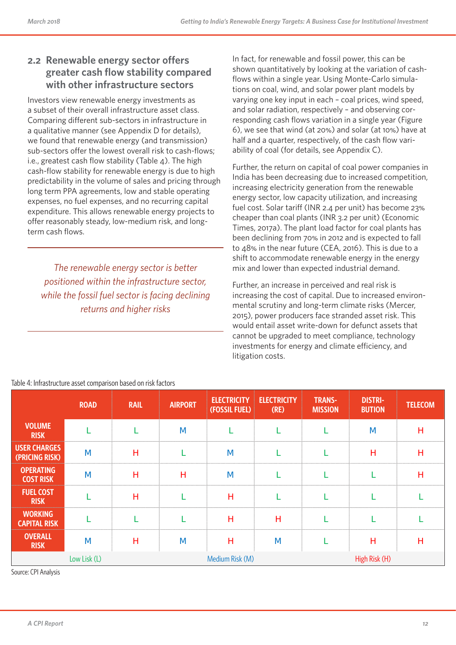### **2.2 Renewable energy sector offers greater cash flow stability compared with other infrastructure sectors**

Investors view renewable energy investments as a subset of their overall infrastructure asset class. Comparing different sub-sectors in infrastructure in a qualitative manner (see Appendix D for details), we found that renewable energy (and transmission) sub-sectors offer the lowest overall risk to cash-flows; i.e., greatest cash flow stability (Table 4). The high cash-flow stability for renewable energy is due to high predictability in the volume of sales and pricing through long term PPA agreements, low and stable operating expenses, no fuel expenses, and no recurring capital expenditure. This allows renewable energy projects to offer reasonably steady, low-medium risk, and longterm cash flows.

*The renewable energy sector is better positioned within the infrastructure sector, while the fossil fuel sector is facing declining returns and higher risks*

In fact, for renewable and fossil power, this can be shown quantitatively by looking at the variation of cashflows within a single year. Using Monte-Carlo simulations on coal, wind, and solar power plant models by varying one key input in each – coal prices, wind speed, and solar radiation, respectively – and observing corresponding cash flows variation in a single year (Figure 6), we see that wind (at 20%) and solar (at 10%) have at half and a quarter, respectively, of the cash flow variability of coal (for details, see Appendix C).

Further, the return on capital of coal power companies in India has been decreasing due to increased competition, increasing electricity generation from the renewable energy sector, low capacity utilization, and increasing fuel cost. Solar tariff (INR 2.4 per unit) has become 23% cheaper than coal plants (INR 3.2 per unit) (Economic Times, 2017a). The plant load factor for coal plants has been declining from 70% in 2012 and is expected to fall to 48% in the near future (CEA, 2016). This is due to a shift to accommodate renewable energy in the energy mix and lower than expected industrial demand.

Further, an increase in perceived and real risk is increasing the cost of capital. Due to increased environmental scrutiny and long-term climate risks (Mercer, 2015), power producers face stranded asset risk. This would entail asset write-down for defunct assets that cannot be upgraded to meet compliance, technology investments for energy and climate efficiency, and litigation costs.

|                                       | <b>ROAD</b>  | <b>RAIL</b> | <b>AIRPORT</b> | <b>ELECTRICITY</b><br>(FOSSIL FUEL) | <b>ELECTRICITY</b><br>(RE) | <b>TRANS-</b><br><b>MISSION</b> | <b>DISTRI-</b><br><b>BUTION</b> | <b>TELECOM</b> |
|---------------------------------------|--------------|-------------|----------------|-------------------------------------|----------------------------|---------------------------------|---------------------------------|----------------|
| <b>VOLUME</b><br><b>RISK</b>          |              |             | M              |                                     |                            |                                 | M                               | H              |
| <b>USER CHARGES</b><br>(PRICING RISK) | M            | H           |                | M                                   |                            |                                 | H                               | H              |
| <b>OPERATING</b><br><b>COST RISK</b>  | M            | Н           | Н              | M                                   |                            |                                 |                                 | H              |
| <b>FUEL COST</b><br><b>RISK</b>       |              | H           |                | Н                                   |                            |                                 |                                 |                |
| <b>WORKING</b><br><b>CAPITAL RISK</b> |              |             |                | Н                                   | H                          |                                 |                                 |                |
| <b>OVERALL</b><br><b>RISK</b>         | M            | н           | M              | н                                   | M                          |                                 | н                               | н              |
|                                       | Low Lisk (L) |             |                | Medium Risk (M)                     |                            |                                 | High Risk (H)                   |                |

Table 4: Infrastructure asset comparison based on risk factors

Source: CPI Analysis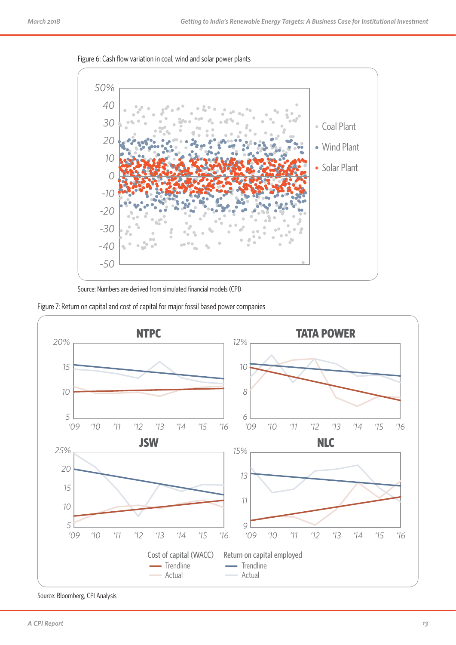

Figure 6: Cash flow variation in coal, wind and solar power plants

Source: Numbers are derived from simulated financial models (CPI)





Source: Bloomberg, CPI Analysis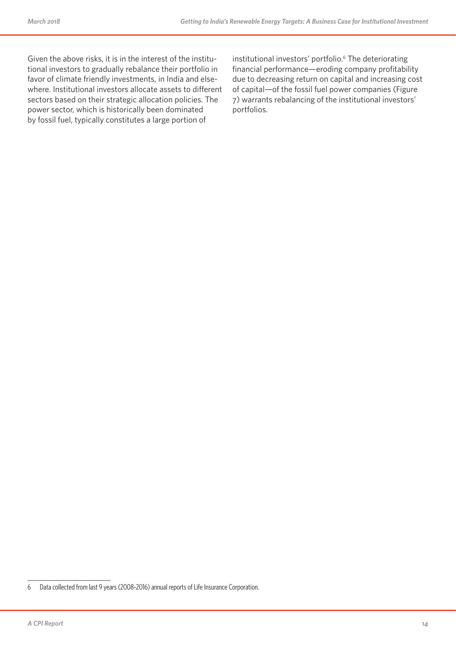Given the above risks, it is in the interest of the institutional investors to gradually rebalance their portfolio in favor of climate friendly investments, in India and elsewhere. Institutional investors allocate assets to different sectors based on their strategic allocation policies. The power sector, which is historically been dominated by fossil fuel, typically constitutes a large portion of

institutional investors' portfolio.<sup>6</sup> The deteriorating financial performance—eroding company profitability due to decreasing return on capital and increasing cost of capital—of the fossil fuel power companies (Figure 7) warrants rebalancing of the institutional investors' portfolios.

<sup>6</sup> Data collected from last 9 years (2008-2016) annual reports of Life Insurance Corporation.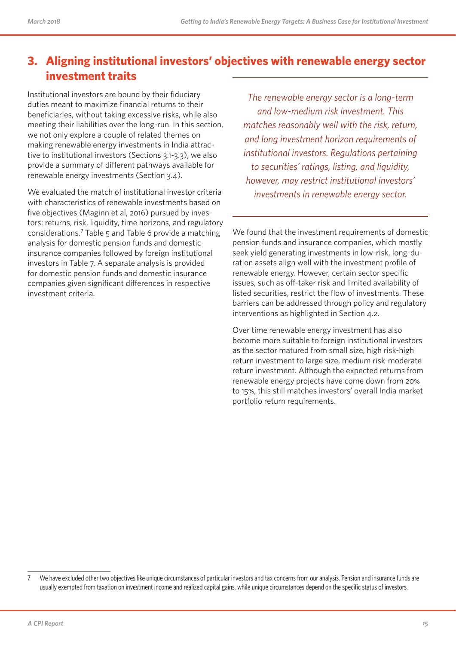# **3. Aligning institutional investors' objectives with renewable energy sector investment traits**

Institutional investors are bound by their fiduciary duties meant to maximize financial returns to their beneficiaries, without taking excessive risks, while also meeting their liabilities over the long-run. In this section, we not only explore a couple of related themes on making renewable energy investments in India attractive to institutional investors (Sections 3.1-3.3), we also provide a summary of different pathways available for renewable energy investments (Section 3.4).

We evaluated the match of institutional investor criteria with characteristics of renewable investments based on five objectives (Maginn et al, 2016) pursued by investors: returns, risk, liquidity, time horizons, and regulatory considerations.<sup>7</sup> Table 5 and Table 6 provide a matching analysis for domestic pension funds and domestic insurance companies followed by foreign institutional investors in Table 7. A separate analysis is provided for domestic pension funds and domestic insurance companies given significant differences in respective investment criteria.

*The renewable energy sector is a long-term and low-medium risk investment. This matches reasonably well with the risk, return, and long investment horizon requirements of institutional investors. Regulations pertaining to securities' ratings, listing, and liquidity, however, may restrict institutional investors' investments in renewable energy sector.*

We found that the investment requirements of domestic pension funds and insurance companies, which mostly seek yield generating investments in low-risk, long-duration assets align well with the investment profile of renewable energy. However, certain sector specific issues, such as off-taker risk and limited availability of listed securities, restrict the flow of investments. These barriers can be addressed through policy and regulatory interventions as highlighted in Section 4.2.

Over time renewable energy investment has also become more suitable to foreign institutional investors as the sector matured from small size, high risk-high return investment to large size, medium risk-moderate return investment. Although the expected returns from renewable energy projects have come down from 20% to 15%, this still matches investors' overall India market portfolio return requirements.

<sup>7</sup> We have excluded other two objectives like unique circumstances of particular investors and tax concerns from our analysis. Pension and insurance funds are usually exempted from taxation on investment income and realized capital gains, while unique circumstances depend on the specific status of investors.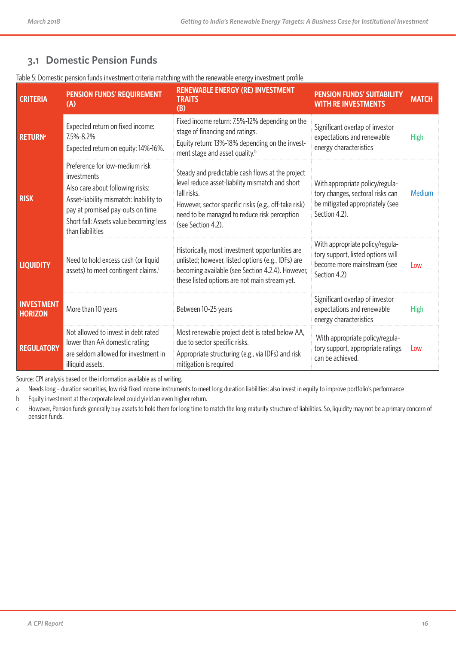### **3.1 Domestic Pension Funds**

| <b>CRITERIA</b>                     | <b>PENSION FUNDS' REQUIREMENT</b><br>(A)                                                                                                                                                                                      | <b>RENEWABLE ENERGY (RE) INVESTMENT</b><br><b>TRAITS</b><br>(B)                                                                                                                                                                                  | <b>PENSION FUNDS' SUITABILITY</b><br><b>WITH RE INVESTMENTS</b>                                                         | <b>MATCH</b> |
|-------------------------------------|-------------------------------------------------------------------------------------------------------------------------------------------------------------------------------------------------------------------------------|--------------------------------------------------------------------------------------------------------------------------------------------------------------------------------------------------------------------------------------------------|-------------------------------------------------------------------------------------------------------------------------|--------------|
| <b>RETURN</b> <sup>a</sup>          | Expected return on fixed income:<br>7.5%-8.2%<br>Expected return on equity: 14%-16%.                                                                                                                                          | Fixed income return: 7.5%-12% depending on the<br>stage of financing and ratings.<br>Equity return: 13%-18% depending on the invest-<br>ment stage and asset quality. <sup>b</sup>                                                               | Significant overlap of investor<br>expectations and renewable<br>energy characteristics                                 | <b>High</b>  |
| <b>RISK</b>                         | Preference for low-medium risk<br>investments<br>Also care about following risks:<br>Asset-liability mismatch: Inability to<br>pay at promised pay-outs on time<br>Short fall: Assets value becoming less<br>than liabilities | Steady and predictable cash flows at the project<br>level reduce asset-liability mismatch and short<br>fall risks.<br>However, sector specific risks (e.g., off-take risk)<br>need to be managed to reduce risk perception<br>(see Section 4.2). | With appropriate policy/regula-<br>tory changes, sectoral risks can<br>be mitigated appropriately (see<br>Section 4.2). | Medium       |
| <b>LIQUIDITY</b>                    | Need to hold excess cash (or liquid<br>assets) to meet contingent claims. <sup>c</sup>                                                                                                                                        | Historically, most investment opportunities are<br>unlisted; however, listed options (e.g., IDFs) are<br>becoming available (see Section 4.2.4). However,<br>these listed options are not main stream yet.                                       | With appropriate policy/regula-<br>tory support, listed options will<br>become more mainstream (see<br>Section 4.2)     | Low          |
| <b>INVESTMENT</b><br><b>HORIZON</b> | More than 10 years                                                                                                                                                                                                            | Between 10-25 years                                                                                                                                                                                                                              | Significant overlap of investor<br>expectations and renewable<br>energy characteristics                                 | <b>High</b>  |
| <b>REGULATORY</b>                   | Not allowed to invest in debt rated<br>lower than AA domestic rating;<br>are seldom allowed for investment in<br>illiquid assets.                                                                                             | Most renewable project debt is rated below AA,<br>due to sector specific risks.<br>Appropriate structuring (e.g., via IDFs) and risk<br>mitigation is required                                                                                   | With appropriate policy/regula-<br>tory support, appropriate ratings<br>can be achieved.                                | Low          |

Table 5: Domestic pension funds investment criteria matching with the renewable energy investment profile

Source: CPI analysis based on the information available as of writing.

a Needs long - duration securities, low risk fixed income instruments to meet long duration liabilities; also invest in equity to improve portfolio's performance

b Equity investment at the corporate level could yield an even higher return.

c However, Pension funds generally buy assets to hold them for long time to match the long maturity structure of liabilities. So, liquidity may not be a primary concern of pension funds.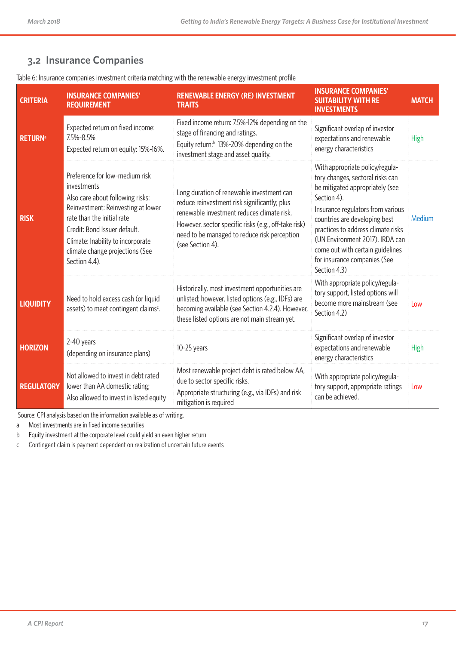# **3.2 Insurance Companies**

| Table 6: Insurance companies investment criteria matching with the renewable energy investment profile |  |  |  |  |
|--------------------------------------------------------------------------------------------------------|--|--|--|--|
|                                                                                                        |  |  |  |  |

| <b>CRITERIA</b>            | <b>INSURANCE COMPANIES'</b><br><b>REQUIREMENT</b>                                                                                                                                                                                                                              | <b>RENEWABLE ENERGY (RE) INVESTMENT</b><br><b>TRAITS</b>                                                                                                                                                                                                            | <b>INSURANCE COMPANIES'</b><br><b>SUITABILITY WITH RE</b><br><b>INVESTMENTS</b>                                                                                                                                                                                                                                                                          | <b>MATCH</b> |
|----------------------------|--------------------------------------------------------------------------------------------------------------------------------------------------------------------------------------------------------------------------------------------------------------------------------|---------------------------------------------------------------------------------------------------------------------------------------------------------------------------------------------------------------------------------------------------------------------|----------------------------------------------------------------------------------------------------------------------------------------------------------------------------------------------------------------------------------------------------------------------------------------------------------------------------------------------------------|--------------|
| <b>RETURN</b> <sup>a</sup> | Expected return on fixed income:<br>7.5%-8.5%<br>Expected return on equity: 15%-16%.                                                                                                                                                                                           | Fixed income return: 7.5%-12% depending on the<br>stage of financing and ratings.<br>Equity return: <sup>b</sup> 13%-20% depending on the<br>investment stage and asset quality.                                                                                    | Significant overlap of investor<br>expectations and renewable<br>energy characteristics                                                                                                                                                                                                                                                                  | <b>High</b>  |
| <b>RISK</b>                | Preference for low-medium risk<br>investments<br>Also care about following risks:<br>Reinvestment: Reinvesting at lower<br>rate than the initial rate<br>Credit: Bond Issuer default.<br>Climate: Inability to incorporate<br>climate change projections (See<br>Section 4.4). | Long duration of renewable investment can<br>reduce reinvestment risk significantly; plus<br>renewable investment reduces climate risk.<br>However, sector specific risks (e.g., off-take risk)<br>need to be managed to reduce risk perception<br>(see Section 4). | With appropriate policy/regula-<br>tory changes, sectoral risks can<br>be mitigated appropriately (see<br>Section 4).<br>Insurance regulators from various<br>countries are developing best<br>practices to address climate risks<br>(UN Environment 2017). IRDA can<br>come out with certain guidelines<br>for insurance companies (See<br>Section 4.3) | Medium       |
| <b>LIQUIDITY</b>           | Need to hold excess cash (or liquid<br>assets) to meet contingent claims <sup>c</sup> .                                                                                                                                                                                        | Historically, most investment opportunities are<br>unlisted; however, listed options (e.g., IDFs) are<br>becoming available (see Section 4.2.4). However,<br>these listed options are not main stream yet.                                                          | With appropriate policy/regula-<br>tory support, listed options will<br>become more mainstream (see<br>Section 4.2)                                                                                                                                                                                                                                      | Low          |
| <b>HORIZON</b>             | 2-40 years<br>(depending on insurance plans)                                                                                                                                                                                                                                   | 10-25 years                                                                                                                                                                                                                                                         | Significant overlap of investor<br>expectations and renewable<br>energy characteristics                                                                                                                                                                                                                                                                  | <b>High</b>  |
| <b>REGULATORY</b>          | Not allowed to invest in debt rated<br>lower than AA domestic rating;<br>Also allowed to invest in listed equity                                                                                                                                                               | Most renewable project debt is rated below AA,<br>due to sector specific risks.<br>Appropriate structuring (e.g., via IDFs) and risk<br>mitigation is required                                                                                                      | With appropriate policy/regula-<br>tory support, appropriate ratings<br>can be achieved.                                                                                                                                                                                                                                                                 | Low          |

Source: CPI analysis based on the information available as of writing.

a Most investments are in fixed income securities

b Equity investment at the corporate level could yield an even higher return

c Contingent claim is payment dependent on realization of uncertain future events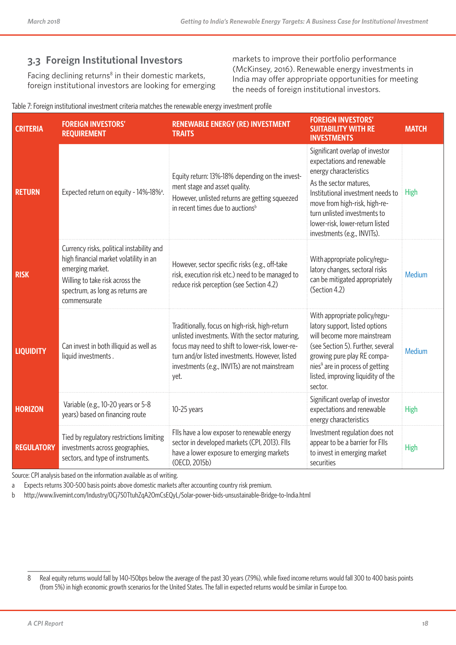### **3.3 Foreign Institutional Investors**

Facing declining returns<sup>8</sup> in their domestic markets, foreign institutional investors are looking for emerging markets to improve their portfolio performance (McKinsey, 2016). Renewable energy investments in India may offer appropriate opportunities for meeting the needs of foreign institutional investors.

#### Table 7: Foreign institutional investment criteria matches the renewable energy investment profile

| <b>CRITERIA</b>   | <b>FOREIGN INVESTORS'</b><br><b>REQUIREMENT</b>                                                                                                                                                | <b>RENEWABLE ENERGY (RE) INVESTMENT</b><br><b>TRAITS</b>                                                                                                                                                                                                          | <b>FOREIGN INVESTORS'</b><br><b>SUITABILITY WITH RE</b><br><b>INVESTMENTS</b>                                                                                                                                                                                                             | <b>MATCH</b> |
|-------------------|------------------------------------------------------------------------------------------------------------------------------------------------------------------------------------------------|-------------------------------------------------------------------------------------------------------------------------------------------------------------------------------------------------------------------------------------------------------------------|-------------------------------------------------------------------------------------------------------------------------------------------------------------------------------------------------------------------------------------------------------------------------------------------|--------------|
| <b>RETURN</b>     | Expected return on equity - 14%-18% <sup>a</sup> .                                                                                                                                             | Equity return: 13%-18% depending on the invest-<br>ment stage and asset quality.<br>However, unlisted returns are getting squeezed<br>in recent times due to auctions <sup>b</sup>                                                                                | Significant overlap of investor<br>expectations and renewable<br>energy characteristics<br>As the sector matures,<br>Institutional investment needs to<br>move from high-risk, high-re-<br>turn unlisted investments to<br>lower-risk, lower-return listed<br>investments (e.g., INVITs). | <b>High</b>  |
| <b>RISK</b>       | Currency risks, political instability and<br>high financial market volatility in an<br>emerging market.<br>Willing to take risk across the<br>spectrum, as long as returns are<br>commensurate | However, sector specific risks (e.g., off-take<br>risk, execution risk etc.) need to be managed to<br>reduce risk perception (see Section 4.2)                                                                                                                    | With appropriate policy/regu-<br>latory changes, sectoral risks<br>can be mitigated appropriately<br>(Section 4.2)                                                                                                                                                                        | Medium       |
| <b>LIQUIDITY</b>  | Can invest in both illiquid as well as<br>liquid investments.                                                                                                                                  | Traditionally, focus on high-risk, high-return<br>unlisted investments. With the sector maturing,<br>focus may need to shift to lower-risk, lower-re-<br>turn and/or listed investments. However, listed<br>investments (e.g., INVITs) are not mainstream<br>yet. | With appropriate policy/regu-<br>latory support, listed options<br>will become more mainstream<br>(see Section 5). Further, several<br>growing pure play RE compa-<br>nies <sup>9</sup> are in process of getting<br>listed, improving liquidity of the<br>sector.                        | Medium       |
| <b>HORIZON</b>    | Variable (e.g., 10-20 years or 5-8<br>years) based on financing route                                                                                                                          | $10-25$ years                                                                                                                                                                                                                                                     | Significant overlap of investor<br>expectations and renewable<br>energy characteristics                                                                                                                                                                                                   | High         |
| <b>REGULATORY</b> | Tied by regulatory restrictions limiting<br>investments across geographies,<br>sectors, and type of instruments.                                                                               | FIIs have a low exposer to renewable energy<br>sector in developed markets (CPI, 2013). FlIs<br>have a lower exposure to emerging markets<br>(OECD, 2015b)                                                                                                        | Investment regulation does not<br>appear to be a barrier for Flls<br>to invest in emerging market<br>securities                                                                                                                                                                           | High         |

Source: CPI analysis based on the information available as of writing.

a Expects returns 300-500 basis points above domestic markets after accounting country risk premium.

b http://www.livemint.com/Industry/0Cj7S0TtuhZqA2OmCsEQyL/Solar-power-bids-unsustainable-Bridge-to-India.html

<sup>8</sup> Real equity returns would fall by 140-150bps below the average of the past 30 years (7.9%), while fixed income returns would fall 300 to 400 basis points (from 5%) in high economic growth scenarios for the United States. The fall in expected returns would be similar in Europe too.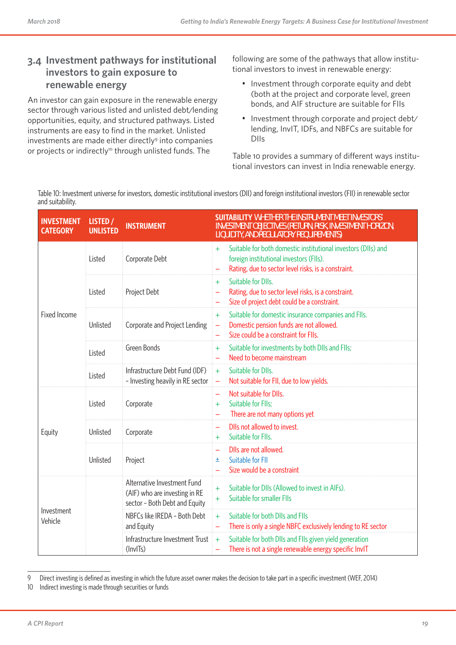### **3.4 Investment pathways for institutional investors to gain exposure to renewable energy**

An investor can gain exposure in the renewable energy sector through various listed and unlisted debt/lending opportunities, equity, and structured pathways. Listed instruments are easy to find in the market. Unlisted investments are made either directly<sup>9</sup> into companies or projects or indirectly<sup>10</sup> through unlisted funds. The

following are some of the pathways that allow institutional investors to invest in renewable energy:

- Investment through corporate equity and debt (both at the project and corporate level, green bonds, and AIF structure are suitable for FIIs
- Investment through corporate and project debt/ lending, InvIT, IDFs, and NBFCs are suitable for DIIs

Table 10 provides a summary of different ways institutional investors can invest in India renewable energy.

Table 10: Investment universe for investors, domestic institutional investors (DII) and foreign institutional investors (FII) in renewable sector and suitability.

| <b>INVESTMENT</b><br><b>CATEGORY</b> | LISTED /<br><b>UNLISTED</b> | <b>INSTRUMENT</b>                                                                             | <b>SUITABILITY WHETHER THE INSTRUMENT MEET INVESTORS</b><br>INVESTMENT OBJECTIVES (RETURN, RISK, INVESTMENT HORIZON,<br>LIQUIDITY, AND REGULATORY REQUIREMENTS)        |
|--------------------------------------|-----------------------------|-----------------------------------------------------------------------------------------------|------------------------------------------------------------------------------------------------------------------------------------------------------------------------|
|                                      | Listed                      | Corporate Debt                                                                                | Suitable for both domestic institutional investors (DIIs) and<br>$+$<br>foreign institutional investors (FIIs).<br>Rating, due to sector level risks, is a constraint. |
|                                      | Listed                      | Project Debt                                                                                  | Suitable for DIIs.<br>$+$<br>Rating, due to sector level risks, is a constraint.<br>$\equiv$<br>Size of project debt could be a constraint.                            |
| Fixed Income                         | Unlisted                    | Corporate and Project Lending                                                                 | Suitable for domestic insurance companies and FIIs.<br>$+$<br>Domestic pension funds are not allowed.<br>$\equiv$<br>Size could be a constraint for FIIs.              |
|                                      | Listed                      | Green Bonds                                                                                   | Suitable for investments by both DIIs and FIIs;<br>$+$<br>Need to become mainstream<br>$\equiv$                                                                        |
|                                      | Listed                      | Infrastructure Debt Fund (IDF)<br>- Investing heavily in RE sector                            | Suitable for DIIs.<br>$+$<br>Not suitable for FII, due to low yields.<br>$\equiv$                                                                                      |
|                                      | Listed                      | Corporate                                                                                     | Not suitable for DIIs.<br>Suitable for Flls;<br>$+$<br>There are not many options yet                                                                                  |
| Equity                               | Unlisted                    | Corporate                                                                                     | Dlls not allowed to invest.<br>$\equiv$<br>Suitable for Flls.<br>$+$                                                                                                   |
|                                      | Unlisted                    | Project                                                                                       | Dlls are not allowed.<br>Suitable for FII<br>土<br>Size would be a constraint                                                                                           |
|                                      |                             | Alternative Investment Fund<br>(AIF) who are investing in RE<br>sector - Both Debt and Equity | Suitable for DIIs (Allowed to invest in AIFs).<br>$+$<br>Suitable for smaller Flls<br>$+$                                                                              |
| Investment<br>Vehicle                |                             | NBFCs like IREDA - Both Debt<br>and Equity                                                    | Suitable for both DIIs and FIIs<br>$+$<br>There is only a single NBFC exclusively lending to RE sector                                                                 |
|                                      |                             | Infrastructure Investment Trust<br>(InvITs)                                                   | Suitable for both DIIs and FIIs given yield generation<br>$+$<br>There is not a single renewable energy specific InvIT                                                 |

<sup>9</sup> Direct investing is defined as investing in which the future asset owner makes the decision to take part in a specific investment (WEF, 2014)

<sup>10</sup> Indirect investing is made through securities or funds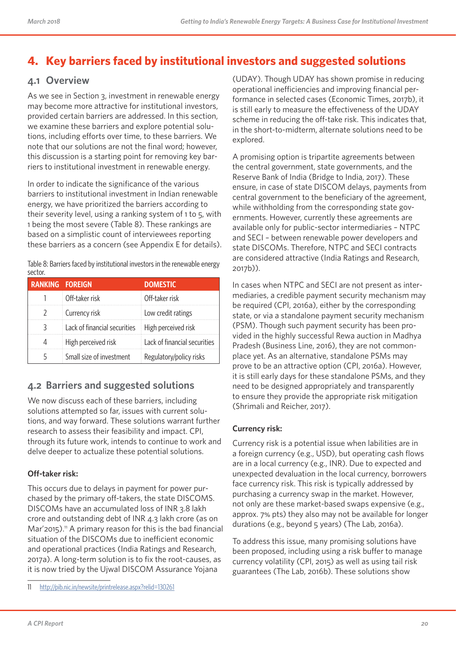# **4. Key barriers faced by institutional investors and suggested solutions**

### **4.1 Overview**

As we see in Section 3, investment in renewable energy may become more attractive for institutional investors, provided certain barriers are addressed. In this section, we examine these barriers and explore potential solutions, including efforts over time, to these barriers. We note that our solutions are not the final word; however, this discussion is a starting point for removing key barriers to institutional investment in renewable energy.

In order to indicate the significance of the various barriers to institutional investment in Indian renewable energy, we have prioritized the barriers according to their severity level, using a ranking system of 1 to 5, with 1 being the most severe (Table 8). These rankings are based on a simplistic count of interviewees reporting these barriers as a concern (see Appendix E for details).

Table 8: Barriers faced by institutional investors in the renewable energy sector.

| <b>RANKING FOREIGN</b> |                              | <b>DOMESTIC</b>              |
|------------------------|------------------------------|------------------------------|
|                        | Off-taker risk               | Off-taker risk               |
| 2                      | Currency risk                | Low credit ratings           |
| 3                      | Lack of financial securities | High perceived risk          |
| 4                      | High perceived risk          | Lack of financial securities |
|                        | Small size of investment     | Regulatory/policy risks      |

### **4.2 Barriers and suggested solutions**

We now discuss each of these barriers, including solutions attempted so far, issues with current solutions, and way forward. These solutions warrant further research to assess their feasibility and impact. CPI, through its future work, intends to continue to work and delve deeper to actualize these potential solutions.

#### **Off-taker risk:**

This occurs due to delays in payment for power purchased by the primary off-takers, the state DISCOMS. DISCOMs have an accumulated loss of INR 3.8 lakh crore and outstanding debt of INR 4.3 lakh crore (as on  $Mar'2015$ .<sup>11</sup> A primary reason for this is the bad financial situation of the DISCOMs due to inefficient economic and operational practices (India Ratings and Research, 2017a). A long-term solution is to fix the root-causes, as it is now tried by the Ujwal DISCOM Assurance Yojana

11 http://pib.nic.in/newsite/printrelease.aspx?relid=130261

(UDAY). Though UDAY has shown promise in reducing operational inefficiencies and improving financial performance in selected cases (Economic Times, 2017b), it is still early to measure the effectiveness of the UDAY scheme in reducing the off-take risk. This indicates that, in the short-to-midterm, alternate solutions need to be explored.

A promising option is tripartite agreements between the central government, state governments, and the Reserve Bank of India (Bridge to India, 2017). These ensure, in case of state DISCOM delays, payments from central government to the beneficiary of the agreement, while withholding from the corresponding state governments. However, currently these agreements are available only for public-sector intermediaries – NTPC and SECI – between renewable power developers and state DISCOMs. Therefore, NTPC and SECI contracts are considered attractive (India Ratings and Research, 2017b)).

In cases when NTPC and SECI are not present as intermediaries, a credible payment security mechanism may be required (CPI, 2016a), either by the corresponding state, or via a standalone payment security mechanism (PSM). Though such payment security has been provided in the highly successful Rewa auction in Madhya Pradesh (Business Line, 2016), they are not commonplace yet. As an alternative, standalone PSMs may prove to be an attractive option (CPI, 2016a). However, it is still early days for these standalone PSMs, and they need to be designed appropriately and transparently to ensure they provide the appropriate risk mitigation (Shrimali and Reicher, 2017).

#### **Currency risk:**

Currency risk is a potential issue when labilities are in a foreign currency (e.g., USD), but operating cash flows are in a local currency (e.g., INR). Due to expected and unexpected devaluation in the local currency, borrowers face currency risk. This risk is typically addressed by purchasing a currency swap in the market. However, not only are these market-based swaps expensive (e.g., approx. 7% pts) they also may not be available for longer durations (e.g., beyond 5 years) (The Lab, 2016a).

To address this issue, many promising solutions have been proposed, including using a risk buffer to manage currency volatility (CPI, 2015) as well as using tail risk guarantees (The Lab, 2016b). These solutions show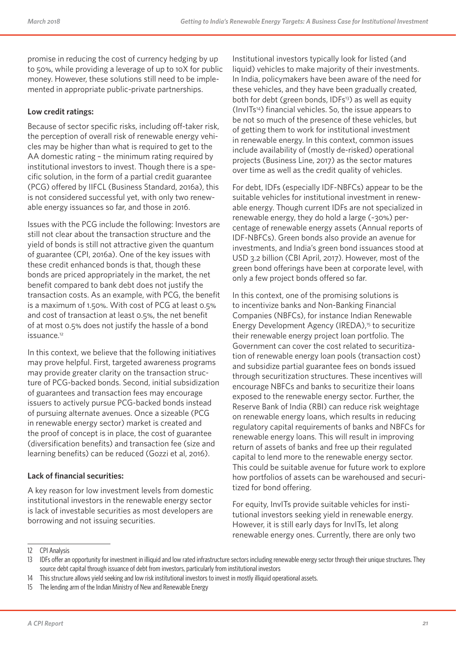promise in reducing the cost of currency hedging by up to 50%, while providing a leverage of up to 10X for public money. However, these solutions still need to be implemented in appropriate public-private partnerships.

#### **Low credit ratings:**

Because of sector specific risks, including off-taker risk, the perception of overall risk of renewable energy vehicles may be higher than what is required to get to the AA domestic rating – the minimum rating required by institutional investors to invest. Though there is a specific solution, in the form of a partial credit guarantee (PCG) offered by IIFCL (Business Standard, 2016a), this is not considered successful yet, with only two renewable energy issuances so far, and those in 2016.

Issues with the PCG include the following: Investors are still not clear about the transaction structure and the yield of bonds is still not attractive given the quantum of guarantee (CPI, 2016a). One of the key issues with these credit enhanced bonds is that, though these bonds are priced appropriately in the market, the net benefit compared to bank debt does not justify the transaction costs. As an example, with PCG, the benefit is a maximum of 1.50%. With cost of PCG at least 0.5% and cost of transaction at least 0.5%, the net benefit of at most 0.5% does not justify the hassle of a bond issuance.<sup>12</sup>

In this context, we believe that the following initiatives may prove helpful. First, targeted awareness programs may provide greater clarity on the transaction structure of PCG-backed bonds. Second, initial subsidization of guarantees and transaction fees may encourage issuers to actively pursue PCG-backed bonds instead of pursuing alternate avenues. Once a sizeable (PCG in renewable energy sector) market is created and the proof of concept is in place, the cost of guarantee (diversification benefits) and transaction fee (size and learning benefits) can be reduced (Gozzi et al, 2016).

#### **Lack of financial securities:**

A key reason for low investment levels from domestic institutional investors in the renewable energy sector is lack of investable securities as most developers are borrowing and not issuing securities.

Institutional investors typically look for listed (and liquid) vehicles to make majority of their investments. In India, policymakers have been aware of the need for these vehicles, and they have been gradually created, both for debt (green bonds, IDFs<sup>13</sup>) as well as equity (InvITs14) financial vehicles. So, the issue appears to be not so much of the presence of these vehicles, but of getting them to work for institutional investment in renewable energy. In this context, common issues include availability of (mostly de-risked) operational projects (Business Line, 2017) as the sector matures over time as well as the credit quality of vehicles.

For debt, IDFs (especially IDF-NBFCs) appear to be the suitable vehicles for institutional investment in renewable energy. Though current IDFs are not specialized in renewable energy, they do hold a large (~30%) percentage of renewable energy assets (Annual reports of IDF-NBFCs). Green bonds also provide an avenue for investments, and India's green bond issuances stood at USD 3.2 billion (CBI April, 2017). However, most of the green bond offerings have been at corporate level, with only a few project bonds offered so far.

In this context, one of the promising solutions is to incentivize banks and Non-Banking Financial Companies (NBFCs), for instance Indian Renewable Energy Development Agency (IREDA),<sup>15</sup> to securitize their renewable energy project loan portfolio. The Government can cover the cost related to securitization of renewable energy loan pools (transaction cost) and subsidize partial guarantee fees on bonds issued through securitization structures. These incentives will encourage NBFCs and banks to securitize their loans exposed to the renewable energy sector. Further, the Reserve Bank of India (RBI) can reduce risk weightage on renewable energy loans, which results in reducing regulatory capital requirements of banks and NBFCs for renewable energy loans. This will result in improving return of assets of banks and free up their regulated capital to lend more to the renewable energy sector. This could be suitable avenue for future work to explore how portfolios of assets can be warehoused and securitized for bond offering.

For equity, InvITs provide suitable vehicles for institutional investors seeking yield in renewable energy. However, it is still early days for InvITs, let along renewable energy ones. Currently, there are only two

<sup>12</sup> CPI Analysis

<sup>13</sup> IDFs offer an opportunity for investment in illiquid and low rated infrastructure sectors including renewable energy sector through their unique structures. They source debt capital through issuance of debt from investors, particularly from institutional investors

<sup>14</sup> This structure allows yield seeking and low risk institutional investors to invest in mostly illiquid operational assets.

<sup>15</sup> The lending arm of the Indian Ministry of New and Renewable Energy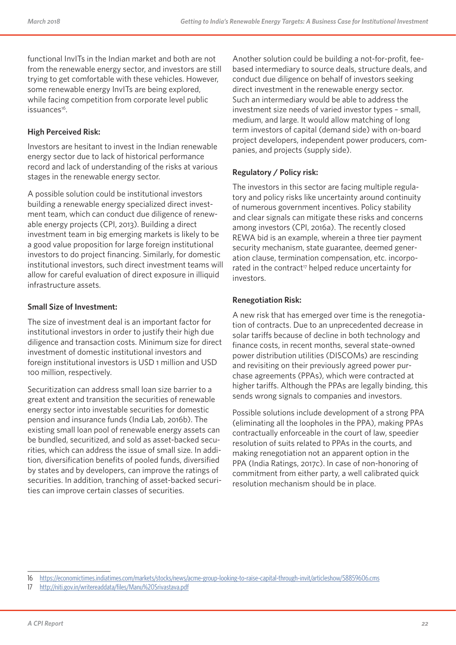functional InvITs in the Indian market and both are not from the renewable energy sector, and investors are still trying to get comfortable with these vehicles. However, some renewable energy InvITs are being explored, while facing competition from corporate level public issuances<sup>16</sup>.

#### **High Perceived Risk:**

Investors are hesitant to invest in the Indian renewable energy sector due to lack of historical performance record and lack of understanding of the risks at various stages in the renewable energy sector.

A possible solution could be institutional investors building a renewable energy specialized direct investment team, which can conduct due diligence of renewable energy projects (CPI, 2013). Building a direct investment team in big emerging markets is likely to be a good value proposition for large foreign institutional investors to do project financing. Similarly, for domestic institutional investors, such direct investment teams will allow for careful evaluation of direct exposure in illiquid infrastructure assets.

#### **Small Size of Investment:**

The size of investment deal is an important factor for institutional investors in order to justify their high due diligence and transaction costs. Minimum size for direct investment of domestic institutional investors and foreign institutional investors is USD 1 million and USD 100 million, respectively.

Securitization can address small loan size barrier to a great extent and transition the securities of renewable energy sector into investable securities for domestic pension and insurance funds (India Lab, 2016b). The existing small loan pool of renewable energy assets can be bundled, securitized, and sold as asset-backed securities, which can address the issue of small size. In addition, diversification benefits of pooled funds, diversified by states and by developers, can improve the ratings of securities. In addition, tranching of asset-backed securities can improve certain classes of securities.

Another solution could be building a not-for-profit, feebased intermediary to source deals, structure deals, and conduct due diligence on behalf of investors seeking direct investment in the renewable energy sector. Such an intermediary would be able to address the investment size needs of varied investor types – small, medium, and large. It would allow matching of long term investors of capital (demand side) with on-board project developers, independent power producers, companies, and projects (supply side).

#### **Regulatory / Policy risk:**

The investors in this sector are facing multiple regulatory and policy risks like uncertainty around continuity of numerous government incentives. Policy stability and clear signals can mitigate these risks and concerns among investors (CPI, 2016a). The recently closed REWA bid is an example, wherein a three tier payment security mechanism, state guarantee, deemed generation clause, termination compensation, etc. incorporated in the contract<sup>17</sup> helped reduce uncertainty for investors.

#### **Renegotiation Risk:**

A new risk that has emerged over time is the renegotiation of contracts. Due to an unprecedented decrease in solar tariffs because of decline in both technology and finance costs, in recent months, several state-owned power distribution utilities (DISCOMs) are rescinding and revisiting on their previously agreed power purchase agreements (PPAs), which were contracted at higher tariffs. Although the PPAs are legally binding, this sends wrong signals to companies and investors.

Possible solutions include development of a strong PPA (eliminating all the loopholes in the PPA), making PPAs contractually enforceable in the court of law, speedier resolution of suits related to PPAs in the courts, and making renegotiation not an apparent option in the PPA (India Ratings, 2017c). In case of non-honoring of commitment from either party, a well calibrated quick resolution mechanism should be in place.

<sup>16</sup> https://economictimes.indiatimes.com/markets/stocks/news/acme-group-looking-to-raise-capital-through-invit/articleshow/58859606.cms

<sup>17</sup> http://niti.gov.in/writereaddata/files/Manu%20Srivastava.pdf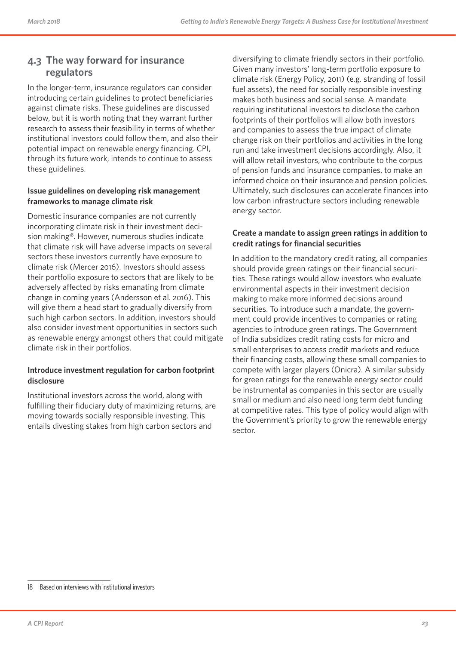### **4.3 The way forward for insurance regulators**

In the longer-term, insurance regulators can consider introducing certain guidelines to protect beneficiaries against climate risks. These guidelines are discussed below, but it is worth noting that they warrant further research to assess their feasibility in terms of whether institutional investors could follow them, and also their potential impact on renewable energy financing. CPI, through its future work, intends to continue to assess these guidelines.

#### **Issue guidelines on developing risk management frameworks to manage climate risk**

Domestic insurance companies are not currently incorporating climate risk in their investment decision making<sup>18</sup>. However, numerous studies indicate that climate risk will have adverse impacts on several sectors these investors currently have exposure to climate risk (Mercer 2016). Investors should assess their portfolio exposure to sectors that are likely to be adversely affected by risks emanating from climate change in coming years (Andersson et al. 2016). This will give them a head start to gradually diversify from such high carbon sectors. In addition, investors should also consider investment opportunities in sectors such as renewable energy amongst others that could mitigate climate risk in their portfolios.

#### **Introduce investment regulation for carbon footprint disclosure**

Institutional investors across the world, along with fulfilling their fiduciary duty of maximizing returns, are moving towards socially responsible investing. This entails divesting stakes from high carbon sectors and

diversifying to climate friendly sectors in their portfolio. Given many investors' long-term portfolio exposure to climate risk (Energy Policy, 2011) (e.g. stranding of fossil fuel assets), the need for socially responsible investing makes both business and social sense. A mandate requiring institutional investors to disclose the carbon footprints of their portfolios will allow both investors and companies to assess the true impact of climate change risk on their portfolios and activities in the long run and take investment decisions accordingly. Also, it will allow retail investors, who contribute to the corpus of pension funds and insurance companies, to make an informed choice on their insurance and pension policies. Ultimately, such disclosures can accelerate finances into low carbon infrastructure sectors including renewable energy sector.

#### **Create a mandate to assign green ratings in addition to credit ratings for financial securities**

In addition to the mandatory credit rating, all companies should provide green ratings on their financial securities. These ratings would allow investors who evaluate environmental aspects in their investment decision making to make more informed decisions around securities. To introduce such a mandate, the government could provide incentives to companies or rating agencies to introduce green ratings. The Government of India subsidizes credit rating costs for micro and small enterprises to access credit markets and reduce their financing costs, allowing these small companies to compete with larger players (Onicra). A similar subsidy for green ratings for the renewable energy sector could be instrumental as companies in this sector are usually small or medium and also need long term debt funding at competitive rates. This type of policy would align with the Government's priority to grow the renewable energy sector.

<sup>18</sup> Based on interviews with institutional investors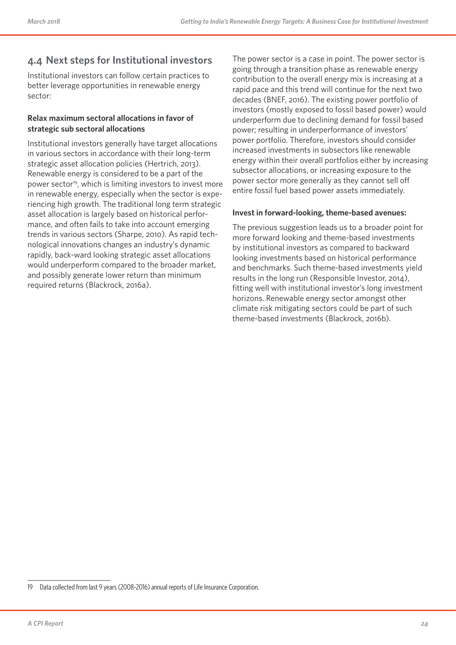### **4.4 Next steps for Institutional investors**

Institutional investors can follow certain practices to better leverage opportunities in renewable energy sector:

#### **Relax maximum sectoral allocations in favor of strategic sub sectoral allocations**

Institutional investors generally have target allocations in various sectors in accordance with their long-term strategic asset allocation policies (Hertrich, 2013). Renewable energy is considered to be a part of the power sector<sup>19</sup>, which is limiting investors to invest more in renewable energy, especially when the sector is experiencing high growth. The traditional long term strategic asset allocation is largely based on historical performance, and often fails to take into account emerging trends in various sectors (Sharpe, 2010). As rapid technological innovations changes an industry's dynamic rapidly, back-ward looking strategic asset allocations would underperform compared to the broader market, and possibly generate lower return than minimum required returns (Blackrock, 2016a).

The power sector is a case in point. The power sector is going through a transition phase as renewable energy contribution to the overall energy mix is increasing at a rapid pace and this trend will continue for the next two decades (BNEF, 2016). The existing power portfolio of investors (mostly exposed to fossil based power) would underperform due to declining demand for fossil based power; resulting in underperformance of investors' power portfolio. Therefore, investors should consider increased investments in subsectors like renewable energy within their overall portfolios either by increasing subsector allocations, or increasing exposure to the power sector more generally as they cannot sell off entire fossil fuel based power assets immediately.

#### **Invest in forward-looking, theme-based avenues:**

The previous suggestion leads us to a broader point for more forward looking and theme-based investments by institutional investors as compared to backward looking investments based on historical performance and benchmarks. Such theme-based investments yield results in the long run (Responsible Investor, 2014), fitting well with institutional investor's long investment horizons. Renewable energy sector amongst other climate risk mitigating sectors could be part of such theme-based investments (Blackrock, 2016b).

<sup>19</sup> Data collected from last 9 years (2008-2016) annual reports of Life Insurance Corporation.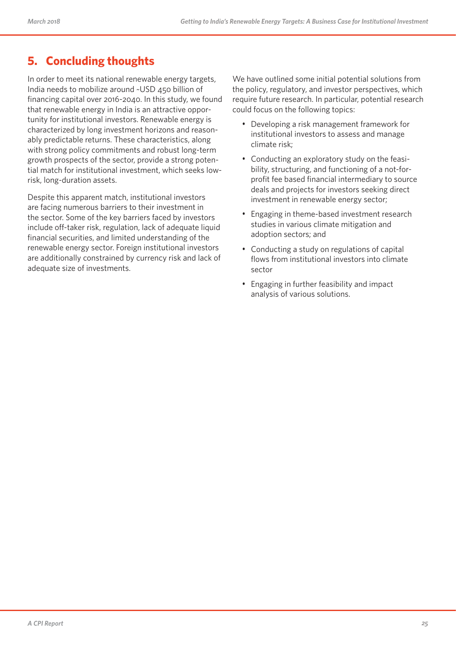# **5. Concluding thoughts**

In order to meet its national renewable energy targets, India needs to mobilize around ~USD 450 billion of financing capital over 2016-2040. In this study, we found that renewable energy in India is an attractive opportunity for institutional investors. Renewable energy is characterized by long investment horizons and reasonably predictable returns. These characteristics, along with strong policy commitments and robust long-term growth prospects of the sector, provide a strong potential match for institutional investment, which seeks lowrisk, long-duration assets.

Despite this apparent match, institutional investors are facing numerous barriers to their investment in the sector. Some of the key barriers faced by investors include off-taker risk, regulation, lack of adequate liquid financial securities, and limited understanding of the renewable energy sector. Foreign institutional investors are additionally constrained by currency risk and lack of adequate size of investments.

We have outlined some initial potential solutions from the policy, regulatory, and investor perspectives, which require future research. In particular, potential research could focus on the following topics:

- Developing a risk management framework for institutional investors to assess and manage climate risk;
- Conducting an exploratory study on the feasibility, structuring, and functioning of a not-forprofit fee based financial intermediary to source deals and projects for investors seeking direct investment in renewable energy sector;
- Engaging in theme-based investment research studies in various climate mitigation and adoption sectors; and
- Conducting a study on regulations of capital flows from institutional investors into climate sector
- Engaging in further feasibility and impact analysis of various solutions.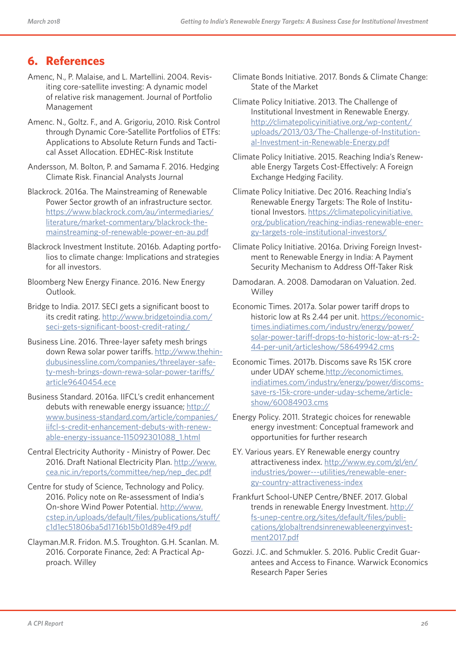### **6. References**

- Amenc, N., P. Malaise, and L. Martellini. 2004. Revisiting core-satellite investing: A dynamic model of relative risk management. Journal of Portfolio Management
- Amenc. N., Goltz. F., and A. Grigoriu, 2010. Risk Control through Dynamic Core-Satellite Portfolios of ETFs: Applications to Absolute Return Funds and Tactical Asset Allocation. EDHEC-Risk Institute
- Andersson, M. Bolton, P. and Samama F. 2016. Hedging Climate Risk. Financial Analysts Journal
- Blackrock. 2016a. The Mainstreaming of Renewable Power Sector growth of an infrastructure sector. https://www.blackrock.com/au/intermediaries/ literature/market-commentary/blackrock-themainstreaming-of-renewable-power-en-au.pdf
- Blackrock Investment Institute. 2016b. Adapting portfolios to climate change: Implications and strategies for all investors.
- Bloomberg New Energy Finance. 2016. New Energy Outlook.
- Bridge to India. 2017. SECI gets a significant boost to its credit rating. http://www.bridgetoindia.com/ seci-gets-significant-boost-credit-rating/
- Business Line. 2016. Three-layer safety mesh brings down Rewa solar power tariffs. http://www.thehindubusinessline.com/companies/threelayer-safety-mesh-brings-down-rewa-solar-power-tariffs/ article9640454.ece
- Business Standard. 2016a. IIFCL's credit enhancement debuts with renewable energy issuance; http:// www.business-standard.com/article/companies/ iifcl-s-credit-enhancement-debuts-with-renewable-energy-issuance-115092301088\_1.html
- Central Electricity Authority Ministry of Power. Dec 2016. Draft National Electricity Plan. http://www. cea.nic.in/reports/committee/nep/nep\_dec.pdf
- Centre for study of Science, Technology and Policy. 2016. Policy note on Re-assessment of India's On-shore Wind Power Potential. http://www. cstep.in/uploads/default/files/publications/stuff/ c1d1ec51806ba5d1716b15b01d89e4f9.pdf
- Clayman.M.R. Fridon. M.S. Troughton. G.H. Scanlan. M. 2016. Corporate Finance, 2ed: A Practical Approach. Willey
- Climate Bonds Initiative. 2017. Bonds & Climate Change: State of the Market
- Climate Policy Initiative. 2013. The Challenge of Institutional Investment in Renewable Energy. http://climatepolicyinitiative.org/wp-content/ uploads/2013/03/The-Challenge-of-Institutional-Investment-in-Renewable-Energy.pdf
- Climate Policy Initiative. 2015. Reaching India's Renewable Energy Targets Cost-Effectively: A Foreign Exchange Hedging Facility.
- Climate Policy Initiative. Dec 2016. Reaching India's Renewable Energy Targets: The Role of Institutional Investors. https://climatepolicyinitiative. org/publication/reaching-indias-renewable-energy-targets-role-institutional-investors/
- Climate Policy Initiative. 2016a. Driving Foreign Investment to Renewable Energy in India: A Payment Security Mechanism to Address Off-Taker Risk
- Damodaran. A. 2008. Damodaran on Valuation. 2ed. **Willey**
- Economic Times. 2017a. Solar power tariff drops to historic low at Rs 2.44 per unit. https://economictimes.indiatimes.com/industry/energy/power/ solar-power-tariff-drops-to-historic-low-at-rs-2- 44-per-unit/articleshow/58649942.cms
- Economic Times. 2017b. Discoms save Rs 15K crore under UDAY scheme.http://economictimes. indiatimes.com/industry/energy/power/discomssave-rs-15k-crore-under-uday-scheme/articleshow/60084903.cms
- Energy Policy. 2011. Strategic choices for renewable energy investment: Conceptual framework and opportunities for further research
- EY. Various years. EY Renewable energy country attractiveness index. http://www.ey.com/gl/en/ industries/power---utilities/renewable-energy-country-attractiveness-index
- Frankfurt School-UNEP Centre/BNEF. 2017. Global trends in renewable Energy Investment. http:// fs-unep-centre.org/sites/default/files/publications/globaltrendsinrenewableenergyinvestment2017.pdf
- Gozzi. J.C. and Schmukler. S. 2016. Public Credit Guarantees and Access to Finance. Warwick Economics Research Paper Series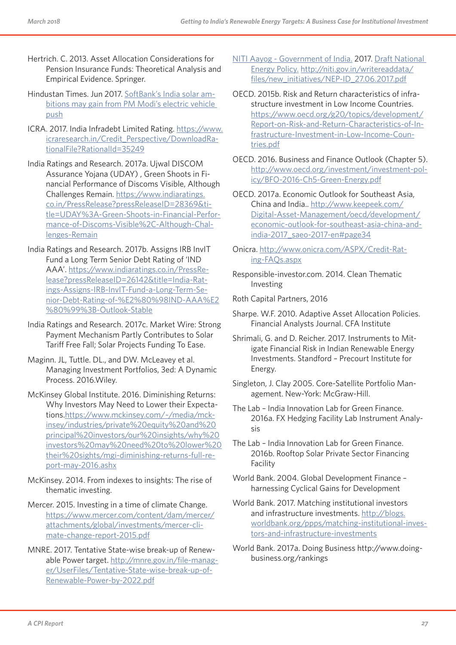- Hertrich. C. 2013. Asset Allocation Considerations for Pension Insurance Funds: Theoretical Analysis and Empirical Evidence. Springer.
- Hindustan Times. Jun 2017. SoftBank's India solar ambitions may gain from PM Modi's electric vehicle push
- ICRA. 2017. India Infradebt Limited Rating. https://www. icraresearch.in/Credit\_Perspective/DownloadRationalFile?RationalId=35249
- India Ratings and Research. 2017a. Ujwal DISCOM Assurance Yojana (UDAY) , Green Shoots in Financial Performance of Discoms Visible, Although Challenges Remain. https://www.indiaratings. co.in/PressRelease?pressReleaseID=28369&title=UDAY%3A-Green-Shoots-in-Financial-Performance-of-Discoms-Visible%2C-Although-Challenges-Remain
- India Ratings and Research. 2017b. Assigns IRB InvIT Fund a Long Term Senior Debt Rating of 'IND AAA'. https://www.indiaratings.co.in/PressRelease?pressReleaseID=26142&title=India-Ratings-Assigns-IRB-InvIT-Fund-a-Long-Term-Senior-Debt-Rating-of-%E2%80%98IND-AAA%E2 %80%99%3B-Outlook-Stable
- India Ratings and Research. 2017c. Market Wire: Strong Payment Mechanism Partly Contributes to Solar Tariff Free Fall; Solar Projects Funding To Ease.
- Maginn. JL, Tuttle. DL., and DW. McLeavey et al. Managing Investment Portfolios, 3ed: A Dynamic Process. 2016.Wiley.
- McKinsey Global Institute. 2016. Diminishing Returns: Why Investors May Need to Lower their Expectations.https://www.mckinsey.com/~/media/mckinsey/industries/private%20equity%20and%20 principal%20investors/our%20insights/why%20 investors%20may%20need%20to%20lower%20 their%20sights/mgi-diminishing-returns-full-report-may-2016.ashx
- McKinsey. 2014. From indexes to insights: The rise of thematic investing.
- Mercer. 2015. Investing in a time of climate Change. https://www.mercer.com/content/dam/mercer/ attachments/global/investments/mercer-climate-change-report-2015.pdf
- MNRE. 2017. Tentative State-wise break-up of Renewable Power target. http://mnre.gov.in/file-manager/UserFiles/Tentative-State-wise-break-up-of-Renewable-Power-by-2022.pdf
- NITI Aayog Government of India. 2017. Draft National Energy Policy. http://niti.gov.in/writereaddata/ files/new\_initiatives/NEP-ID\_27.06.2017.pdf
- OECD. 2015b. Risk and Return characteristics of infrastructure investment in Low Income Countries. https://www.oecd.org/g20/topics/development/ Report-on-Risk-and-Return-Characteristics-of-Infrastructure-Investment-in-Low-Income-Countries.pdf
- OECD. 2016. Business and Finance Outlook (Chapter 5). http://www.oecd.org/investment/investment-policy/BFO-2016-Ch5-Green-Energy.pdf
- OECD. 2017a. Economic Outlook for Southeast Asia, China and India.. http://www.keepeek.com/ Digital-Asset-Management/oecd/development/ economic-outlook-for-southeast-asia-china-andindia-2017\_saeo-2017-en#page34
- Onicra. http://www.onicra.com/ASPX/Credit-Rating-FAQs.aspx
- Responsible-investor.com. 2014. Clean Thematic Investing
- Roth Capital Partners, 2016
- Sharpe. W.F. 2010. Adaptive Asset Allocation Policies. Financial Analysts Journal. CFA Institute
- Shrimali, G. and D. Reicher. 2017. Instruments to Mitigate Financial Risk in Indian Renewable Energy Investments. Standford – Precourt Institute for Energy.
- Singleton, J. Clay 2005. Core-Satellite Portfolio Management. New-York: McGraw-Hill.
- The Lab India Innovation Lab for Green Finance. 2016a. FX Hedging Facility Lab Instrument Analysis
- The Lab India Innovation Lab for Green Finance. 2016b. Rooftop Solar Private Sector Financing Facility
- World Bank. 2004. Global Development Finance harnessing Cyclical Gains for Development
- World Bank. 2017. Matching institutional investors and infrastructure investments. http://blogs. worldbank.org/ppps/matching-institutional-investors-and-infrastructure-investments
- World Bank. 2017a. Doing Business http://www.doingbusiness.org/rankings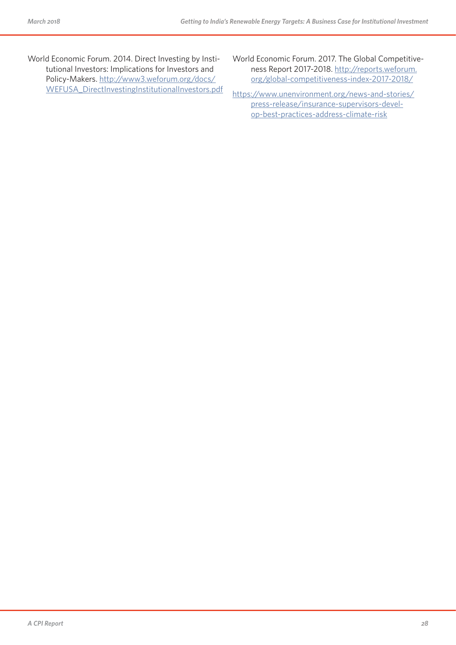World Economic Forum. 2014. Direct Investing by Institutional Investors: Implications for Investors and Policy-Makers. http://www3.weforum.org/docs/ WEFUSA\_DirectInvestingInstitutionalInvestors.pdf World Economic Forum. 2017. The Global Competitiveness Report 2017-2018. http://reports.weforum. org/global-competitiveness-index-2017-2018/

https://www.unenvironment.org/news-and-stories/ press-release/insurance-supervisors-develop-best-practices-address-climate-risk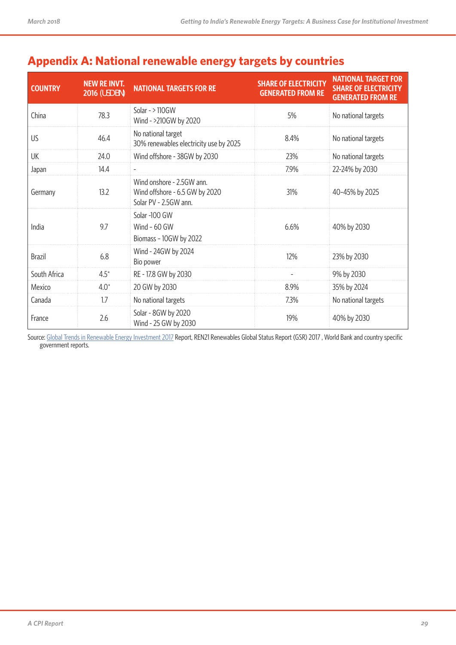| <b>COUNTRY</b> | <b>NEW RE INVT.</b><br><b>2016 (USD BN)</b> | <b>NATIONAL TARGETS FOR RE</b>                                                       | <b>SHARE OF ELECTRICITY</b><br><b>GENERATED FROM RE</b> | <b>NATIONAL TARGET FOR</b><br><b>SHARE OF ELECTRICITY</b><br><b>GENERATED FROM RE</b> |
|----------------|---------------------------------------------|--------------------------------------------------------------------------------------|---------------------------------------------------------|---------------------------------------------------------------------------------------|
| China          | 78.3                                        | Solar - $>110$ GW<br>Wind - >210GW by 2020                                           | 5%                                                      | No national targets                                                                   |
| US             | 46.4                                        | No national target<br>30% renewables electricity use by 2025                         | 8.4%                                                    | No national targets                                                                   |
| UK             | 24.0                                        | Wind offshore - 38GW by 2030                                                         | 23%                                                     | No national targets                                                                   |
| Japan          | 14.4                                        |                                                                                      | 7.9%                                                    | 22-24% by 2030                                                                        |
| Germany        | 13.2                                        | Wind onshore - 2.5GW ann.<br>Wind offshore - 6.5 GW by 2020<br>Solar PV - 2.5GW ann. | 31%                                                     | 40-45% by 2025                                                                        |
| India          | 9.7                                         | Solar -100 GW<br>Wind $-60$ GW<br>Biomass - 10GW by 2022                             | 6.6%                                                    | 40% by 2030                                                                           |
| <b>Brazil</b>  | 6.8                                         | Wind - 24GW by 2024<br>Bio power                                                     | 12%                                                     | 23% by 2030                                                                           |
| South Africa   | $4.5^*$                                     | RE - 17.8 GW by 2030                                                                 |                                                         | 9% by 2030                                                                            |
| Mexico         | $4.0^*$                                     | 20 GW by 2030                                                                        | 8.9%                                                    | 35% by 2024                                                                           |
| Canada         | 1.7                                         | No national targets                                                                  | 7.3%                                                    | No national targets                                                                   |
| France         | 2.6                                         | Solar - 8GW by 2020<br>Wind - 25 GW by 2030                                          | 19%                                                     | 40% by 2030                                                                           |

# **Appendix A: National renewable energy targets by countries**

Source: Global Trends in Renewable Energy Investment 2017 Report, REN21 Renewables Global Status Report (GSR) 2017, World Bank and country specific government reports.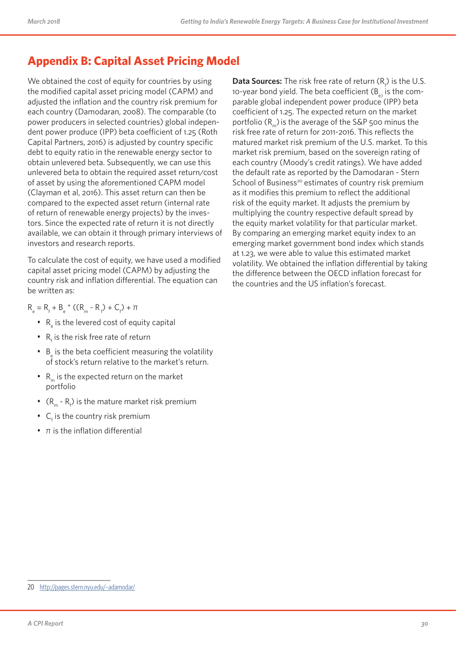# **Appendix B: Capital Asset Pricing Model**

We obtained the cost of equity for countries by using the modified capital asset pricing model (CAPM) and adjusted the inflation and the country risk premium for each country (Damodaran, 2008). The comparable (to power producers in selected countries) global independent power produce (IPP) beta coefficient of 1.25 (Roth Capital Partners, 2016) is adjusted by country specific debt to equity ratio in the renewable energy sector to obtain unlevered beta. Subsequently, we can use this unlevered beta to obtain the required asset return/cost of asset by using the aforementioned CAPM model (Clayman et al, 2016). This asset return can then be compared to the expected asset return (internal rate of return of renewable energy projects) by the investors. Since the expected rate of return it is not directly available, we can obtain it through primary interviews of investors and research reports.

To calculate the cost of equity, we have used a modified capital asset pricing model (CAPM) by adjusting the country risk and inflation differential. The equation can be written as:

 $R_e = R_f + B_e * ((R_m - R_f) + C_f) + \pi$ 

- $\,$  R $_{\rm e}$  is the levered cost of equity capital
- $R_f$  is the risk free rate of return
- $B_{\text{e}}$  is the beta coefficient measuring the volatility of stock's return relative to the market's return.
- $R_m$  is the expected return on the market portfolio
- $(R_m R_f)$  is the mature market risk premium
- $C_f$  is the country risk premium
- $\bullet$   $\pi$  is the inflation differential

**Data Sources:** The risk free rate of return  $(R_f)$  is the U.S. 10-year bond yield. The beta coefficient  $(B_{\rho})$  is the comparable global independent power produce (IPP) beta coefficient of 1.25. The expected return on the market portfolio  $(R_n)$  is the average of the S&P 500 minus the risk free rate of return for 2011-2016. This reflects the matured market risk premium of the U.S. market. To this market risk premium, based on the sovereign rating of each country (Moody's credit ratings). We have added the default rate as reported by the Damodaran - Stern School of Business<sup>20</sup> estimates of country risk premium as it modifies this premium to reflect the additional risk of the equity market. It adjusts the premium by multiplying the country respective default spread by the equity market volatility for that particular market. By comparing an emerging market equity index to an emerging market government bond index which stands at 1.23, we were able to value this estimated market volatility. We obtained the inflation differential by taking the difference between the OECD inflation forecast for the countries and the US inflation's forecast.

<sup>20</sup> http://pages.stern.nyu.edu/~adamodar/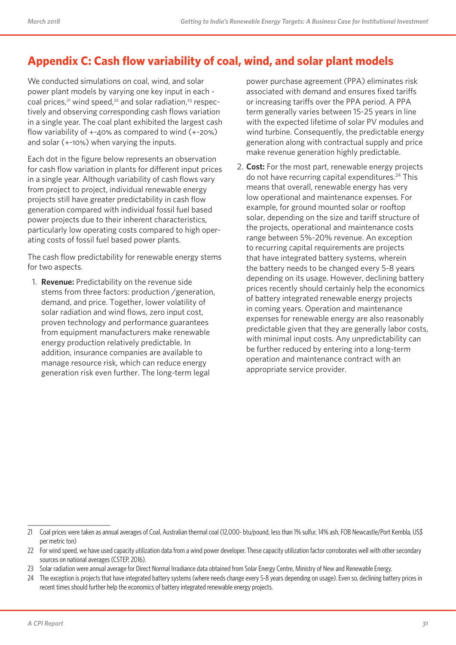# **Appendix C: Cash flow variability of coal, wind, and solar plant models**

We conducted simulations on coal, wind, and solar power plant models by varying one key input in each coal prices, $21$  wind speed, $22$  and solar radiation, $23$  respectively and observing corresponding cash flows variation in a single year. The coal plant exhibited the largest cash flow variability of +-40% as compared to wind (+-20%) and solar (+-10%) when varying the inputs.

Each dot in the figure below represents an observation for cash flow variation in plants for different input prices in a single year. Although variability of cash flows vary from project to project, individual renewable energy projects still have greater predictability in cash flow generation compared with individual fossil fuel based power projects due to their inherent characteristics, particularly low operating costs compared to high operating costs of fossil fuel based power plants.

The cash flow predictability for renewable energy stems for two aspects.

1. **Revenue:** Predictability on the revenue side stems from three factors: production /generation, demand, and price. Together, lower volatility of solar radiation and wind flows, zero input cost, proven technology and performance guarantees from equipment manufacturers make renewable energy production relatively predictable. In addition, insurance companies are available to manage resource risk, which can reduce energy generation risk even further. The long-term legal

power purchase agreement (PPA) eliminates risk associated with demand and ensures fixed tariffs or increasing tariffs over the PPA period. A PPA term generally varies between 15-25 years in line with the expected lifetime of solar PV modules and wind turbine. Consequently, the predictable energy generation along with contractual supply and price make revenue generation highly predictable.

2. **Cost:** For the most part, renewable energy projects do not have recurring capital expenditures.<sup>24</sup> This means that overall, renewable energy has very low operational and maintenance expenses. For example, for ground mounted solar or rooftop solar, depending on the size and tariff structure of the projects, operational and maintenance costs range between 5%-20% revenue. An exception to recurring capital requirements are projects that have integrated battery systems, wherein the battery needs to be changed every 5-8 years depending on its usage. However, declining battery prices recently should certainly help the economics of battery integrated renewable energy projects in coming years. Operation and maintenance expenses for renewable energy are also reasonably predictable given that they are generally labor costs, with minimal input costs. Any unpredictability can be further reduced by entering into a long-term operation and maintenance contract with an appropriate service provider.

23 Solar radiation were annual average for Direct Normal Irradiance data obtained from Solar Energy Centre, Ministry of New and Renewable Energy.

<sup>21</sup> Coal prices were taken as annual averages of Coal, Australian thermal coal (12,000- btu/pound, less than 1% sulfur, 14% ash, FOB Newcastle/Port Kembla, US\$ per metric ton)

<sup>22</sup> For wind speed, we have used capacity utilization data from a wind power developer. These capacity utilization factor corroborates well with other secondary sources on national averages (CSTEP, 2016).

<sup>24</sup> The exception is projects that have integrated battery systems (where needs change every 5-8 years depending on usage). Even so, declining battery prices in recent times should further help the economics of battery integrated renewable energy projects.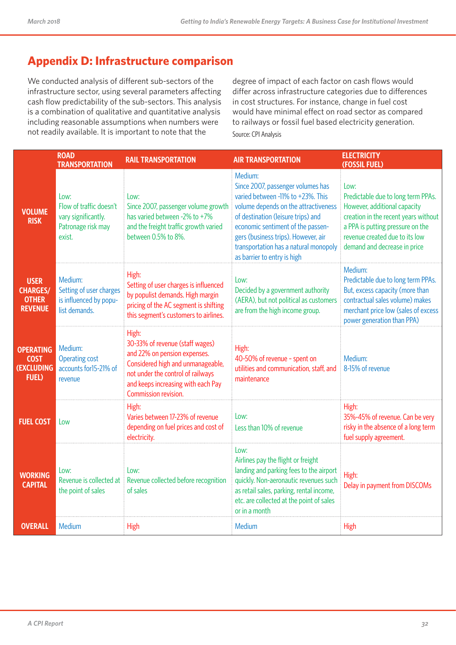# **Appendix D: Infrastructure comparison**

We conducted analysis of different sub-sectors of the infrastructure sector, using several parameters affecting cash flow predictability of the sub-sectors. This analysis is a combination of qualitative and quantitative analysis including reasonable assumptions when numbers were not readily available. It is important to note that the

degree of impact of each factor on cash flows would differ across infrastructure categories due to differences in cost structures. For instance, change in fuel cost would have minimal effect on road sector as compared to railways or fossil fuel based electricity generation. Source: CPI Analysis

|                                                                       | <b>ROAD</b><br><b>TRANSPORTATION</b>                                                   | <b>RAIL TRANSPORTATION</b>                                                                                                                                                                                       | <b>AIR TRANSPORTATION</b>                                                                                                                                                                                                                                                                                           | <b>ELECTRICITY</b><br>(FOSSIL FUEL)                                                                                                                                                                                      |
|-----------------------------------------------------------------------|----------------------------------------------------------------------------------------|------------------------------------------------------------------------------------------------------------------------------------------------------------------------------------------------------------------|---------------------------------------------------------------------------------------------------------------------------------------------------------------------------------------------------------------------------------------------------------------------------------------------------------------------|--------------------------------------------------------------------------------------------------------------------------------------------------------------------------------------------------------------------------|
| <b>VOLUME</b><br><b>RISK</b>                                          | Low:<br>Flow of traffic doesn't<br>vary significantly.<br>Patronage risk may<br>exist. | Low:<br>Since 2007, passenger volume growth<br>has varied between -2% to +7%<br>and the freight traffic growth varied<br>between 0.5% to 8%.                                                                     | Medium:<br>Since 2007, passenger volumes has<br>varied between -11% to +23%. This<br>volume depends on the attractiveness<br>of destination (leisure trips) and<br>economic sentiment of the passen-<br>gers (business trips). However, air<br>transportation has a natural monopoly<br>as barrier to entry is high | Low:<br>Predictable due to long term PPAs.<br>However, additional capacity<br>creation in the recent years without<br>a PPA is putting pressure on the<br>revenue created due to its low<br>demand and decrease in price |
| <b>USER</b><br><b>CHARGES/</b><br><b>OTHER</b><br><b>REVENUE</b>      | Medium:<br>Setting of user charges<br>is influenced by popu-<br>list demands.          | High:<br>Setting of user charges is influenced<br>by populist demands. High margin<br>pricing of the AC segment is shifting<br>this segment's customers to airlines.                                             | Low:<br>Decided by a government authority<br>(AERA), but not political as customers<br>are from the high income group.                                                                                                                                                                                              | Medium:<br>Predictable due to long term PPAs.<br>But, excess capacity (more than<br>contractual sales volume) makes<br>merchant price low (sales of excess<br>power generation than PPA)                                 |
| <b>OPERATING</b><br><b>COST</b><br><b>(EXCLUDING</b><br><b>FUEL</b> ) | Medium:<br><b>Operating cost</b><br>accounts for15-21% of<br>revenue                   | High:<br>30-33% of revenue (staff wages)<br>and 22% on pension expenses.<br>Considered high and unmanageable,<br>not under the control of railways<br>and keeps increasing with each Pay<br>Commission revision. | High:<br>40-50% of revenue - spent on<br>utilities and communication, staff, and<br>maintenance                                                                                                                                                                                                                     | Medium:<br>8-15% of revenue                                                                                                                                                                                              |
| <b>FUEL COST</b>                                                      | Low                                                                                    | High:<br>Varies between 17-23% of revenue<br>depending on fuel prices and cost of<br>electricity.                                                                                                                | Low:<br>Less than 10% of revenue                                                                                                                                                                                                                                                                                    | High:<br>35%-45% of revenue. Can be very<br>risky in the absence of a long term<br>fuel supply agreement.                                                                                                                |
| <b>WORKING</b><br><b>CAPITAL</b>                                      | Low:<br>Revenue is collected at<br>the point of sales                                  | Low:<br>Revenue collected before recognition<br>of sales                                                                                                                                                         | Low:<br>Airlines pay the flight or freight<br>landing and parking fees to the airport<br>quickly. Non-aeronautic revenues such<br>as retail sales, parking, rental income,<br>etc. are collected at the point of sales<br>or in a month                                                                             | High:<br>Delay in payment from DISCOMs                                                                                                                                                                                   |
| <b>OVERALL</b>                                                        | Medium                                                                                 | <b>High</b>                                                                                                                                                                                                      | Medium                                                                                                                                                                                                                                                                                                              | High                                                                                                                                                                                                                     |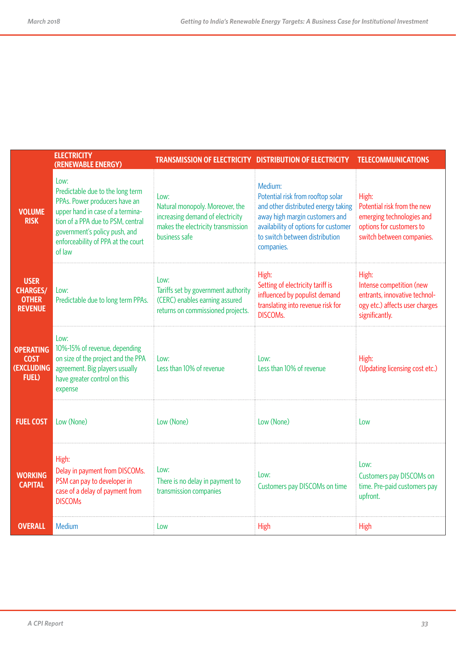|                                                                  | <b>ELECTRICITY</b><br>(RENEWABLE ENERGY)                                                                                                                                                                                            | <b>TRANSMISSION OF ELECTRICITY DISTRIBUTION OF ELECTRICITY</b>                                                                     |                                                                                                                                                                                                               | <b>TELECOMMUNICATIONS</b>                                                                                                  |
|------------------------------------------------------------------|-------------------------------------------------------------------------------------------------------------------------------------------------------------------------------------------------------------------------------------|------------------------------------------------------------------------------------------------------------------------------------|---------------------------------------------------------------------------------------------------------------------------------------------------------------------------------------------------------------|----------------------------------------------------------------------------------------------------------------------------|
| <b>VOLUME</b><br><b>RISK</b>                                     | Low:<br>Predictable due to the long term<br>PPAs. Power producers have an<br>upper hand in case of a termina-<br>tion of a PPA due to PSM, central<br>government's policy push, and<br>enforceability of PPA at the court<br>of law | Low:<br>Natural monopoly. Moreover, the<br>increasing demand of electricity<br>makes the electricity transmission<br>business safe | Medium:<br>Potential risk from rooftop solar<br>and other distributed energy taking<br>away high margin customers and<br>availability of options for customer<br>to switch between distribution<br>companies. | High:<br>Potential risk from the new<br>emerging technologies and<br>options for customers to<br>switch between companies. |
| <b>USER</b><br><b>CHARGES/</b><br><b>OTHER</b><br><b>REVENUE</b> | Low:<br>Predictable due to long term PPAs.                                                                                                                                                                                          | Low:<br>Tariffs set by government authority<br>(CERC) enables earning assured<br>returns on commissioned projects.                 | High:<br>Setting of electricity tariff is<br>influenced by populist demand<br>translating into revenue risk for<br><b>DISCOMs.</b>                                                                            | High:<br>Intense competition (new<br>entrants, innovative technol-<br>ogy etc.) affects user charges<br>significantly.     |
| <b>OPERATING</b><br><b>COST</b><br>(EXCLUDING<br><b>FUEL</b> )   | Low:<br>10%-15% of revenue, depending<br>on size of the project and the PPA<br>agreement. Big players usually<br>have greater control on this<br>expense                                                                            | Low:<br>Less than 10% of revenue                                                                                                   | low:<br>Less than 10% of revenue                                                                                                                                                                              | High:<br>(Updating licensing cost etc.)                                                                                    |
| <b>FUEL COST</b>                                                 | Low (None)                                                                                                                                                                                                                          | Low (None)                                                                                                                         | Low (None)                                                                                                                                                                                                    | Low                                                                                                                        |
| <b>WORKING</b><br><b>CAPITAL</b>                                 | High:<br>Delay in payment from DISCOMs.<br>PSM can pay to developer in<br>case of a delay of payment from<br><b>DISCOMs</b>                                                                                                         | Low:<br>There is no delay in payment to<br>transmission companies                                                                  | Low:<br>Customers pay DISCOMs on time                                                                                                                                                                         | Low:<br>Customers pay DISCOMs on<br>time. Pre-paid customers pay<br>upfront.                                               |
| <b>OVERALL</b>                                                   | Medium                                                                                                                                                                                                                              | Low                                                                                                                                | High                                                                                                                                                                                                          | High                                                                                                                       |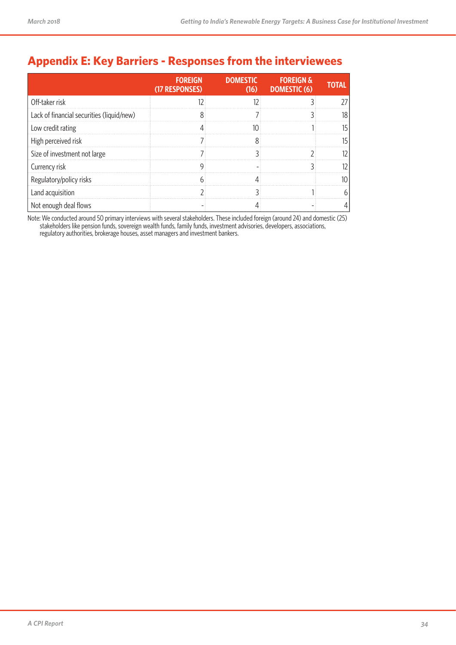# **Appendix E: Key Barriers - Responses from the interviewees**

|                                           | <b>FOREIGN</b><br>(17 RESPONSES) | <b>DOMESTIC</b> | <b>FOREIGN &amp;</b><br>$(16)$ DOMESTIC $(6)$ | IOTAL |
|-------------------------------------------|----------------------------------|-----------------|-----------------------------------------------|-------|
| Off-taker risk                            |                                  |                 |                                               |       |
| Lack of financial securities (liquid/new) |                                  |                 |                                               |       |
| Low credit rating                         |                                  |                 |                                               |       |
| High perceived risk                       |                                  |                 |                                               |       |
| Size of investment not large              |                                  |                 |                                               |       |
| Currency risk                             |                                  |                 |                                               |       |
| Regulatory/policy risks                   |                                  |                 |                                               |       |
| Land acquisition                          |                                  |                 |                                               |       |
| Not enough deal flows                     |                                  |                 |                                               |       |

Note: We conducted around 50 primary interviews with several stakeholders. These included foreign (around 24) and domestic (25) stakeholders like pension funds, sovereign wealth funds, family funds, investment advisories, developers, associations, regulatory authorities, brokerage houses, asset managers and investment bankers.